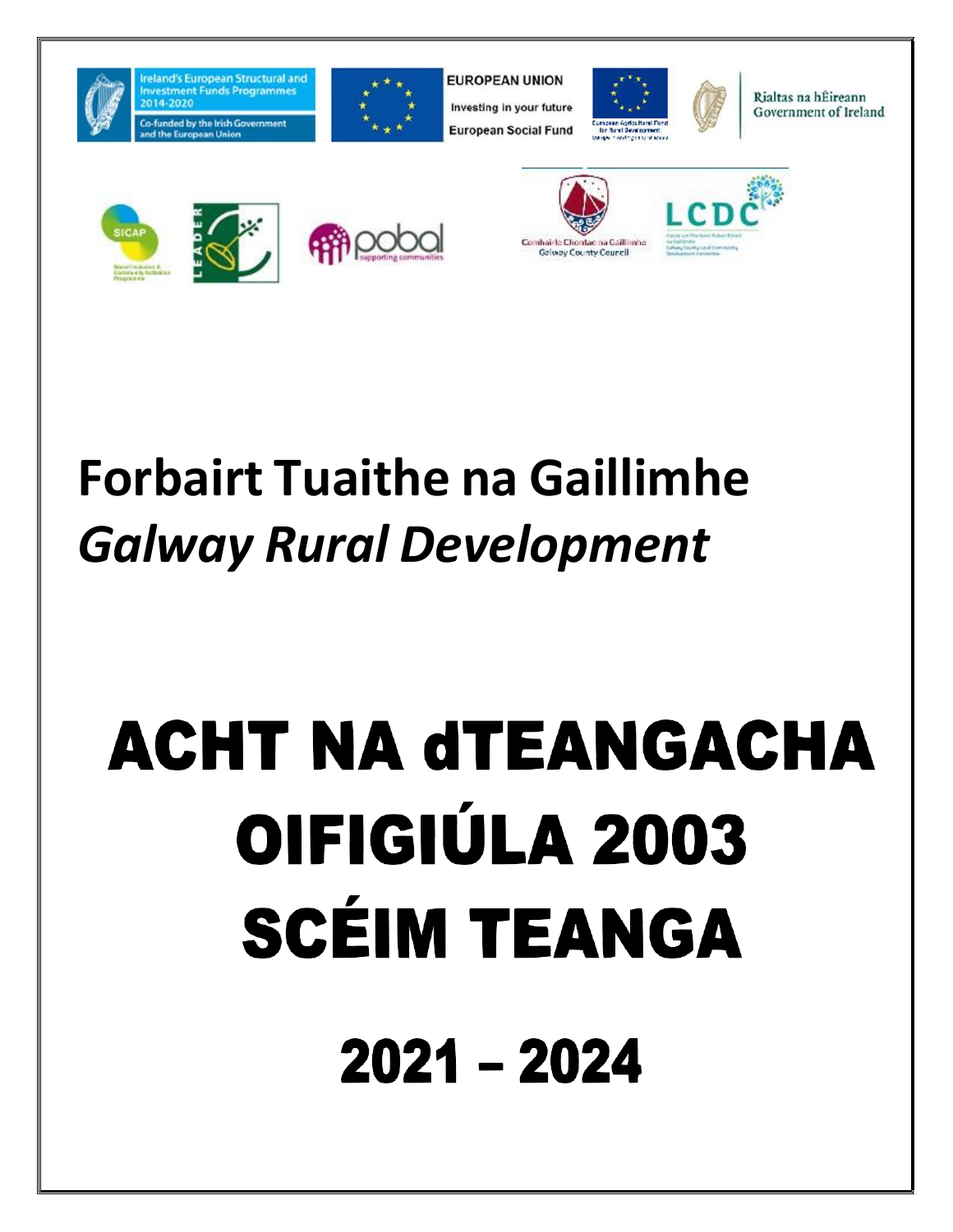

reland's European Structural and



**EUROPEAN UNION** Investing in your future **European Social Fund** 





Rialtas na hÉireann Government of Ireland









# **Forbairt Tuaithe na Gaillimhe** *Galway Rural Development*

# **ACHT NA dTEANGACHA** OIFIGIÚLA 2003 **SCÉIM TEANGA** 2021 - 2024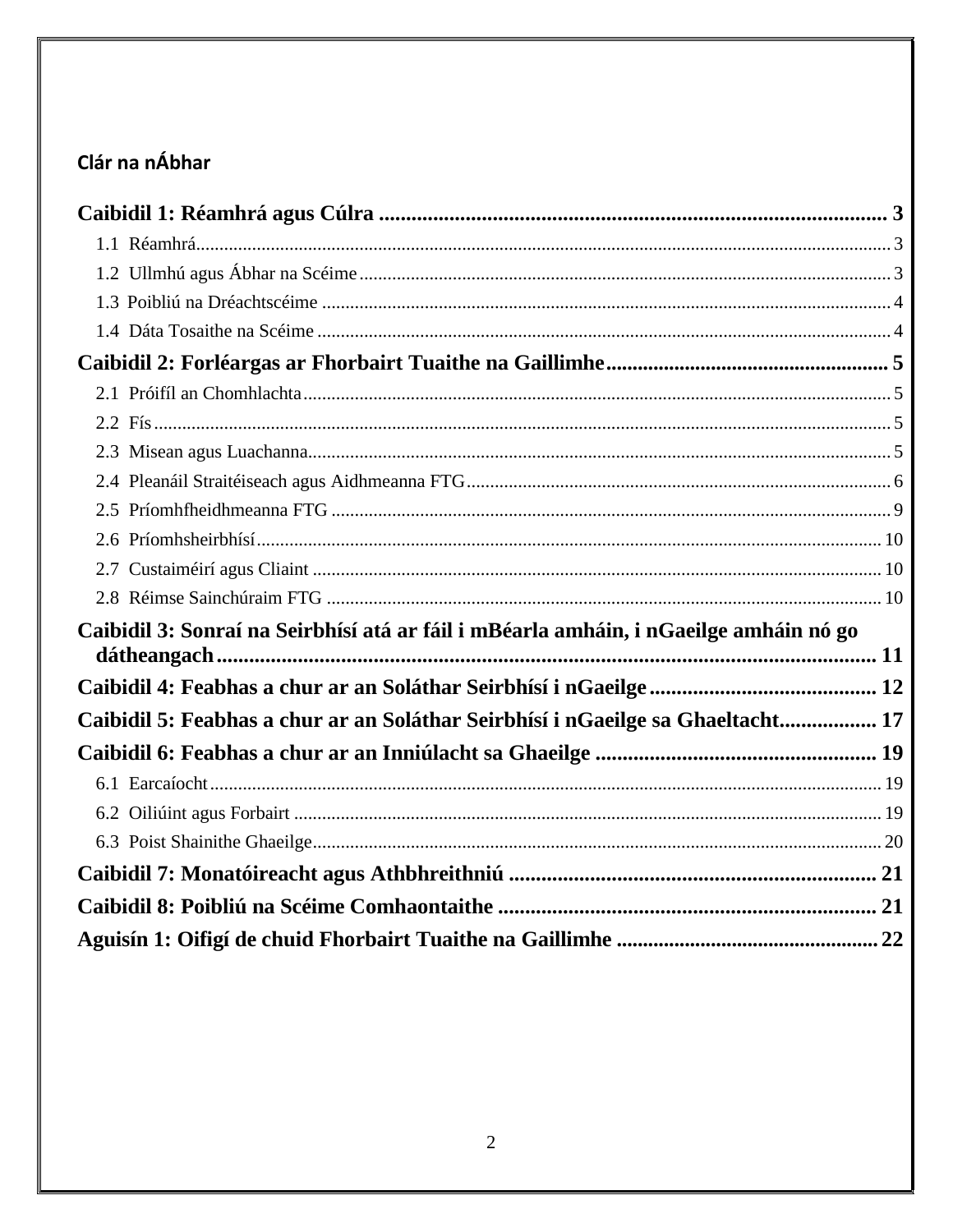# Clár na nÁbhar

| Caibidil 3: Sonraí na Seirbhísí atá ar fáil i mBéarla amháin, i nGaeilge amháin nó go |
|---------------------------------------------------------------------------------------|
|                                                                                       |
|                                                                                       |
| Caibidil 5: Feabhas a chur ar an Soláthar Seirbhísí i nGaeilge sa Ghaeltacht 17       |
|                                                                                       |
|                                                                                       |
|                                                                                       |
|                                                                                       |
|                                                                                       |
|                                                                                       |
|                                                                                       |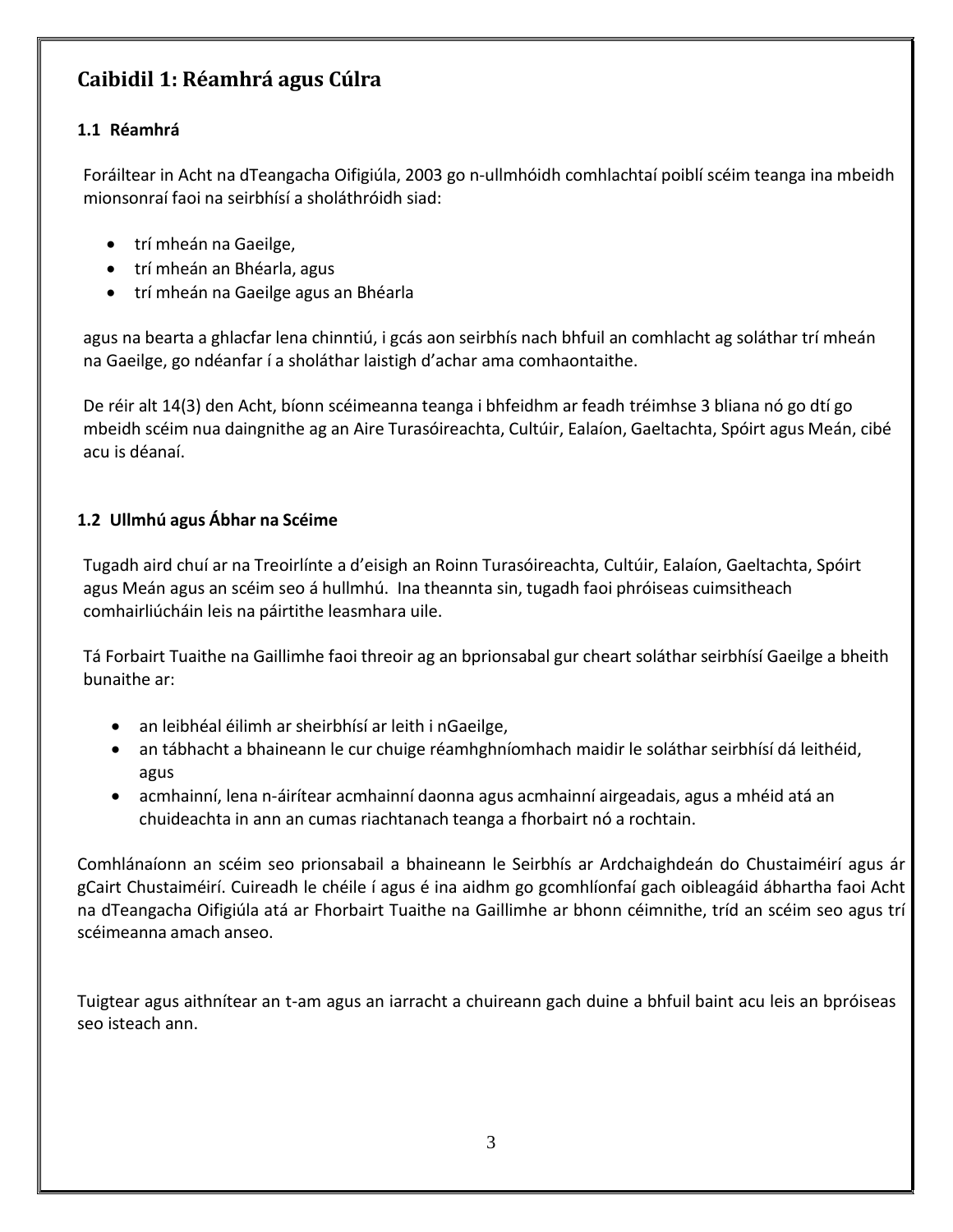# <span id="page-2-0"></span>**Caibidil 1: Réamhrá agus Cúlra**

#### <span id="page-2-1"></span>**1.1 Réamhrá**

Foráiltear in Acht na dTeangacha Oifigiúla, 2003 go n-ullmhóidh comhlachtaí poiblí scéim teanga ina mbeidh mionsonraí faoi na seirbhísí a sholáthróidh siad:

- trí mheán na Gaeilge,
- trí mheán an Bhéarla, agus
- trí mheán na Gaeilge agus an Bhéarla

agus na bearta a ghlacfar lena chinntiú, i gcás aon seirbhís nach bhfuil an comhlacht ag soláthar trí mheán na Gaeilge, go ndéanfar í a sholáthar laistigh d'achar ama comhaontaithe.

De réir alt 14(3) den Acht, bíonn scéimeanna teanga i bhfeidhm ar feadh tréimhse 3 bliana nó go dtí go mbeidh scéim nua daingnithe ag an Aire Turasóireachta, Cultúir, Ealaíon, Gaeltachta, Spóirt agus Meán, cibé acu is déanaí.

#### <span id="page-2-2"></span>**1.2 Ullmhú agus Ábhar na Scéime**

Tugadh aird chuí ar na Treoirlínte a d'eisigh an Roinn Turasóireachta, Cultúir, Ealaíon, Gaeltachta, Spóirt agus Meán agus an scéim seo á hullmhú. Ina theannta sin, tugadh faoi phróiseas cuimsitheach comhairliúcháin leis na páirtithe leasmhara uile.

Tá Forbairt Tuaithe na Gaillimhe faoi threoir ag an bprionsabal gur cheart soláthar seirbhísí Gaeilge a bheith bunaithe ar:

- an leibhéal éilimh ar sheirbhísí ar leith i nGaeilge,
- an tábhacht a bhaineann le cur chuige réamhghníomhach maidir le soláthar seirbhísí dá leithéid, agus
- acmhainní, lena n-áirítear acmhainní daonna agus acmhainní airgeadais, agus a mhéid atá an chuideachta in ann an cumas riachtanach teanga a fhorbairt nó a rochtain.

Comhlánaíonn an scéim seo prionsabail a bhaineann le Seirbhís ar Ardchaighdeán do Chustaiméirí agus ár gCairt Chustaiméirí. Cuireadh le chéile í agus é ina aidhm go gcomhlíonfaí gach oibleagáid ábhartha faoi Acht na dTeangacha Oifigiúla atá ar Fhorbairt Tuaithe na Gaillimhe ar bhonn céimnithe, tríd an scéim seo agus trí scéimeanna amach anseo.

Tuigtear agus aithnítear an t-am agus an iarracht a chuireann gach duine a bhfuil baint acu leis an bpróiseas seo isteach ann.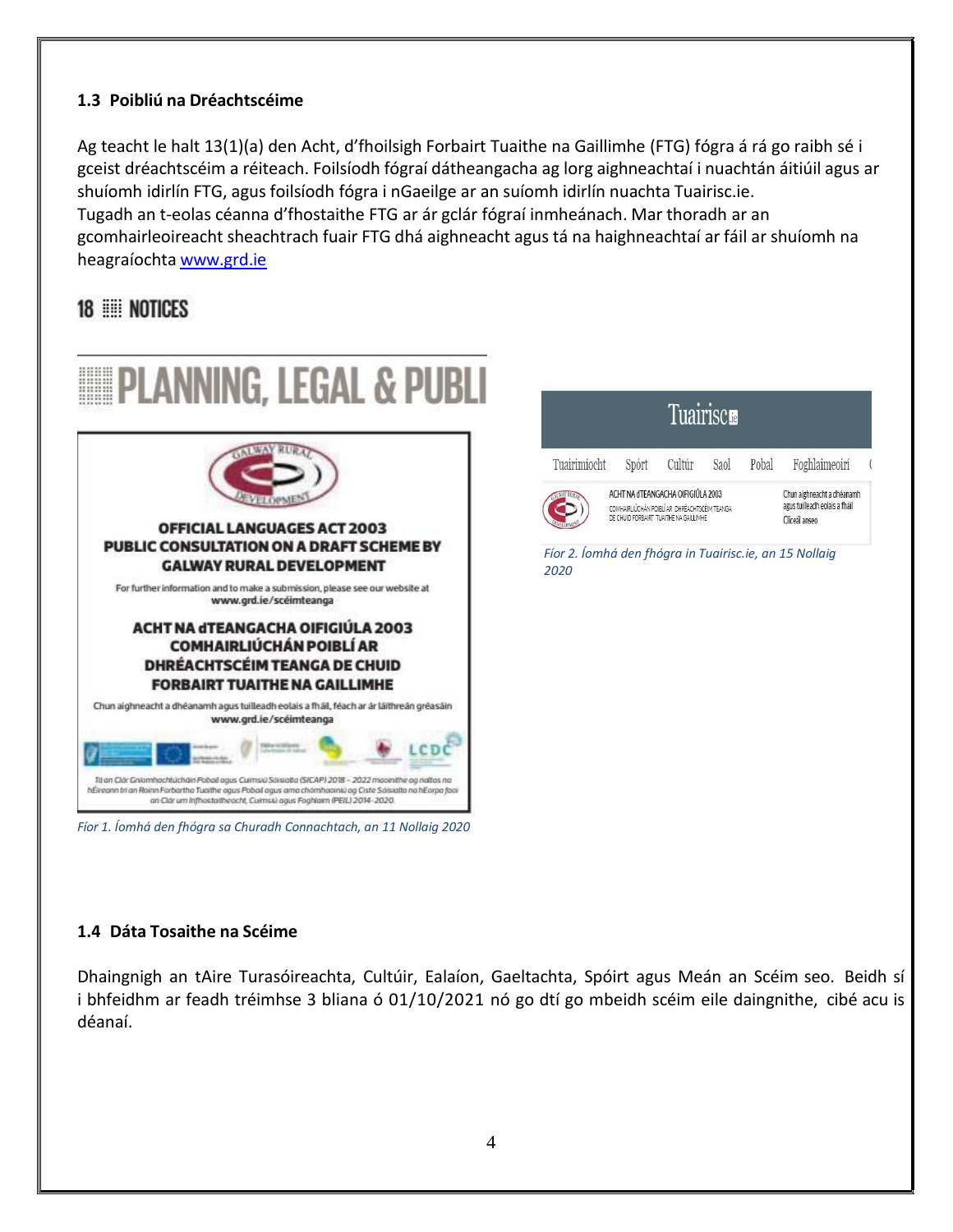#### <span id="page-3-0"></span>**1.3 Poibliú na Dréachtscéime**

Ag teacht le halt 13(1)(a) den Acht, d'fhoilsigh Forbairt Tuaithe na Gaillimhe (FTG) fógra á rá go raibh sé i gceist dréachtscéim a réiteach. Foilsíodh fógraí dátheangacha ag lorg aighneachtaí i nuachtán áitiúil agus ar shuíomh idirlín FTG, agus foilsíodh fógra i nGaeilge ar an suíomh idirlín nuachta Tuairisc.ie. Tugadh an t-eolas céanna d'fhostaithe FTG ar ár gclár fógraí inmheánach. Mar thoradh ar an gcomhairleoireacht sheachtrach fuair FTG dhá aighneacht agus tá na haighneachtaí ar fáil ar shuíomh na heagraíochta www.grd.ie

# 18 NOTICES



#### <span id="page-3-1"></span>**1.4 Dáta Tosaithe na Scéime**

Dhaingnigh an tAire Turasóireachta, Cultúir, Ealaíon, Gaeltachta, Spóirt agus Meán an Scéim seo. Beidh sí i bhfeidhm ar feadh tréimhse 3 bliana ó 01/10/2021 nó go dtí go mbeidh scéim eile daingnithe, cibé acu is déanaí.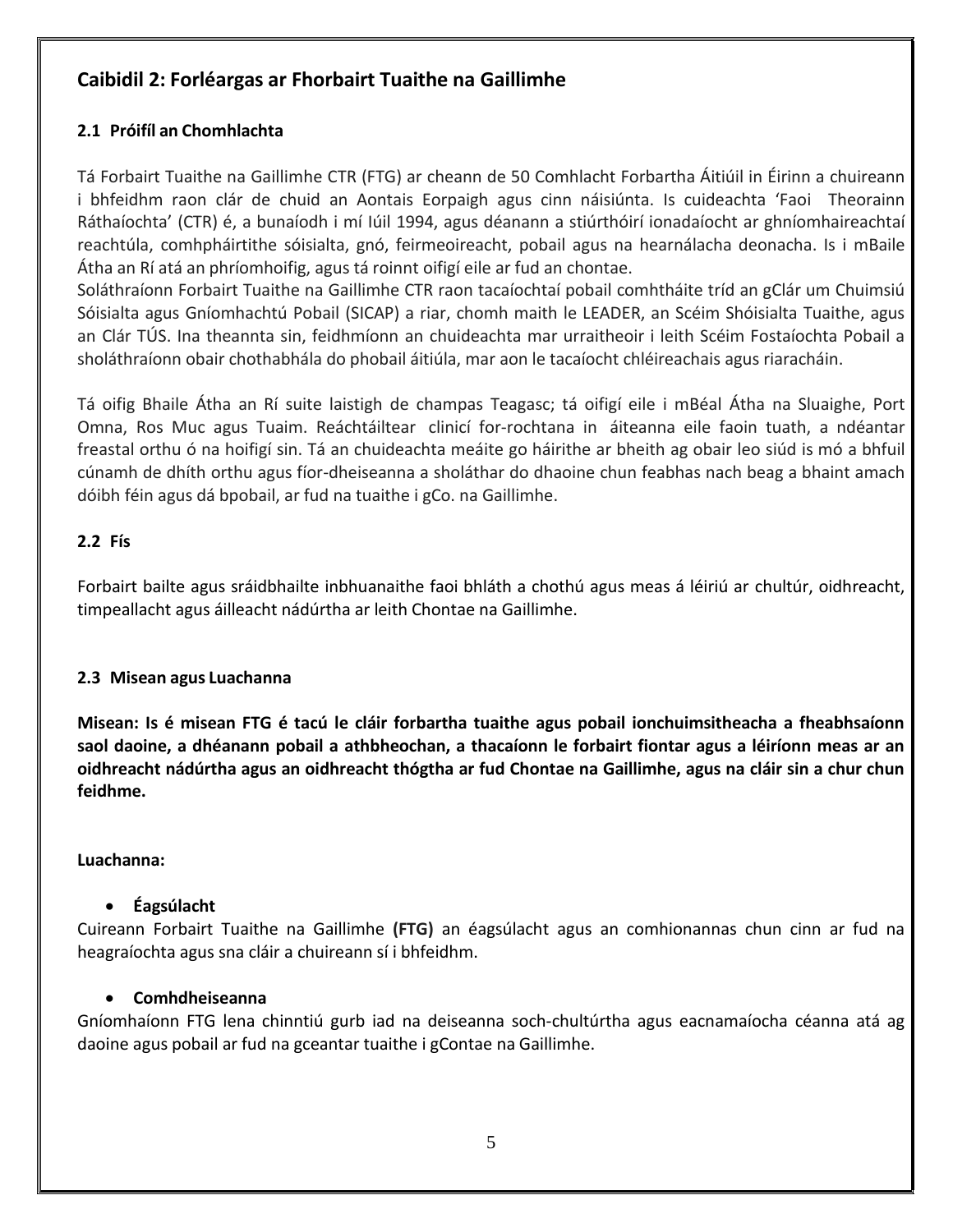#### <span id="page-4-0"></span>**Caibidil 2: Forléargas ar Fhorbairt Tuaithe na Gaillimhe**

#### <span id="page-4-1"></span>**2.1 Próifíl an Chomhlachta**

Tá Forbairt Tuaithe na Gaillimhe CTR (FTG) ar cheann de 50 Comhlacht Forbartha Áitiúil in Éirinn a chuireann i bhfeidhm raon clár de chuid an Aontais Eorpaigh agus cinn náisiúnta. Is cuideachta 'Faoi Theorainn Ráthaíochta' (CTR) é, a bunaíodh i mí Iúil 1994, agus déanann a stiúrthóirí ionadaíocht ar ghníomhaireachtaí reachtúla, comhpháirtithe sóisialta, gnó, feirmeoireacht, pobail agus na hearnálacha deonacha. Is i mBaile Átha an Rí atá an phríomhoifig, agus tá roinnt oifigí eile ar fud an chontae.

Soláthraíonn Forbairt Tuaithe na Gaillimhe CTR raon tacaíochtaí pobail comhtháite tríd an gClár um Chuimsiú Sóisialta agus Gníomhachtú Pobail (SICAP) a riar, chomh maith le LEADER, an Scéim Shóisialta Tuaithe, agus an Clár TÚS. Ina theannta sin, feidhmíonn an chuideachta mar urraitheoir i leith Scéim Fostaíochta Pobail a sholáthraíonn obair chothabhála do phobail áitiúla, mar aon le tacaíocht chléireachais agus riaracháin.

Tá oifig Bhaile Átha an Rí suite laistigh de champas Teagasc; tá oifigí eile i mBéal Átha na Sluaighe, Port Omna, Ros Muc agus Tuaim. Reáchtáiltear clinicí for-rochtana in áiteanna eile faoin tuath, a ndéantar freastal orthu ó na hoifigí sin. Tá an chuideachta meáite go háirithe ar bheith ag obair leo siúd is mó a bhfuil cúnamh de dhíth orthu agus fíor-dheiseanna a sholáthar do dhaoine chun feabhas nach beag a bhaint amach dóibh féin agus dá bpobail, ar fud na tuaithe i gCo. na Gaillimhe.

#### <span id="page-4-2"></span>**2.2 Fís**

Forbairt bailte agus sráidbhailte inbhuanaithe faoi bhláth a chothú agus meas á léiriú ar chultúr, oidhreacht, timpeallacht agus áilleacht nádúrtha ar leith Chontae na Gaillimhe.

#### <span id="page-4-3"></span>**2.3 Misean agus Luachanna**

**Misean: Is é misean FTG é tacú le cláir forbartha tuaithe agus pobail ionchuimsitheacha a fheabhsaíonn** saol daoine, a dhéanann pobail a athbheochan, a thacaíonn le forbairt fiontar agus a léiríonn meas ar an **oidhreacht nádúrtha agus an oidhreacht thógtha ar fud Chontae na Gaillimhe, agus na cláir sin a chur chun feidhme.**

#### **Luachanna:**

#### **Éagsúlacht**

Cuireann Forbairt Tuaithe na Gaillimhe **(FTG)** an éagsúlacht agus an comhionannas chun cinn ar fud na heagraíochta agus sna cláir a chuireann sí i bhfeidhm.

#### **Comhdheiseanna**

Gníomhaíonn FTG lena chinntiú gurb iad na deiseanna soch-chultúrtha agus eacnamaíocha céanna atá ag daoine agus pobail ar fud na gceantar tuaithe i gContae na Gaillimhe.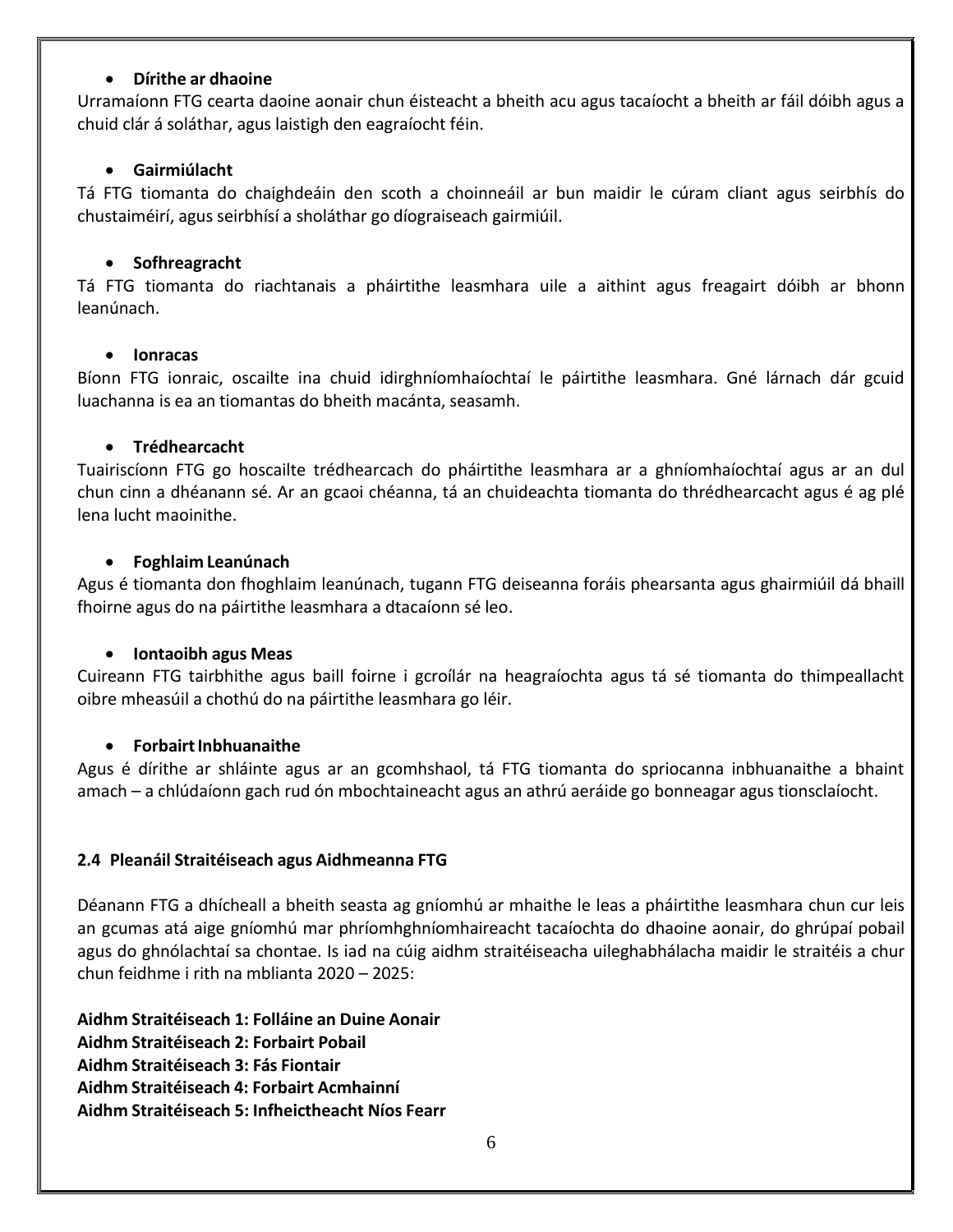#### **Dírithe ar dhaoine**

Urramaíonn FTG cearta daoine aonair chun éisteacht a bheith acu agus tacaíocht a bheith ar fáil dóibh agus a chuid clár á soláthar, agus laistigh den eagraíocht féin.

#### **Gairmiúlacht**

Tá FTG tiomanta do chaighdeáin den scoth a choinneáil ar bun maidir le cúram cliant agus seirbhís do chustaiméirí, agus seirbhísí a sholáthar go díograiseach gairmiúil.

#### **•** Sofhreagracht

Tá FTG tiomanta do riachtanais a pháirtithe leasmhara uile a aithint agus freagairt dóibh ar bhonn leanúnach.

#### **Ionracas**

Bíonn FTG ionraic, oscailte ina chuid idirghníomhaíochtaí le páirtithe leasmhara. Gné lárnach dár gcuid luachanna is ea an tiomantas do bheith macánta, seasamh.

#### **Trédhearcacht**

Tuairiscíonn FTG go hoscailte trédhearcach do pháirtithe leasmhara ar a ghníomhaíochtaí agus ar an dul chun cinn a dhéanann sé. Ar an gcaoi chéanna, tá an chuideachta tiomanta do thrédhearcacht agus é ag plé lena lucht maoinithe.

#### **Foghlaim Leanúnach**

Agus é tiomanta don fhoghlaim leanúnach, tugann FTG deiseanna foráis phearsanta agus ghairmiúil dá bhaill fhoirne agus do na páirtithe leasmhara a dtacaíonn sé leo.

#### **Iontaoibh agus Meas**

Cuireann FTG tairbhithe agus baill foirne i gcroílár na heagraíochta agus tá sé tiomanta do thimpeallacht oibre mheasúil a chothú do na páirtithe leasmhara go léir.

#### **ForbairtInbhuanaithe**

Agus é dírithe ar shláinte agus ar an gcomhshaol, tá FTG tiomanta do spriocanna inbhuanaithe a bhaint amach – a chlúdaíonn gach rud ón mbochtaineacht agus an athrú aeráide go bonneagar agus tionsclaíocht.

#### <span id="page-5-0"></span>**2.4 Pleanáil Straitéiseach agus Aidhmeanna FTG**

Déanann FTG a dhícheall a bheith seasta ag gníomhú ar mhaithe le leas a pháirtithe leasmhara chun cur leis an gcumas atá aige gníomhú mar phríomhghníomhaireacht tacaíochta do dhaoine aonair, do ghrúpaí pobail agus do ghnólachtaí sa chontae. Is iad na cúig aidhm straitéiseacha uileghabhálacha maidir le straitéis a chur chun feidhme i rith na mblianta 2020 – 2025:

**Aidhm Straitéiseach 1: Folláine an Duine Aonair Aidhm Straitéiseach 2: Forbairt Pobail Aidhm Straitéiseach 3: Fás Fiontair Aidhm Straitéiseach 4: Forbairt Acmhainní Aidhm Straitéiseach 5: Infheictheacht Níos Fearr**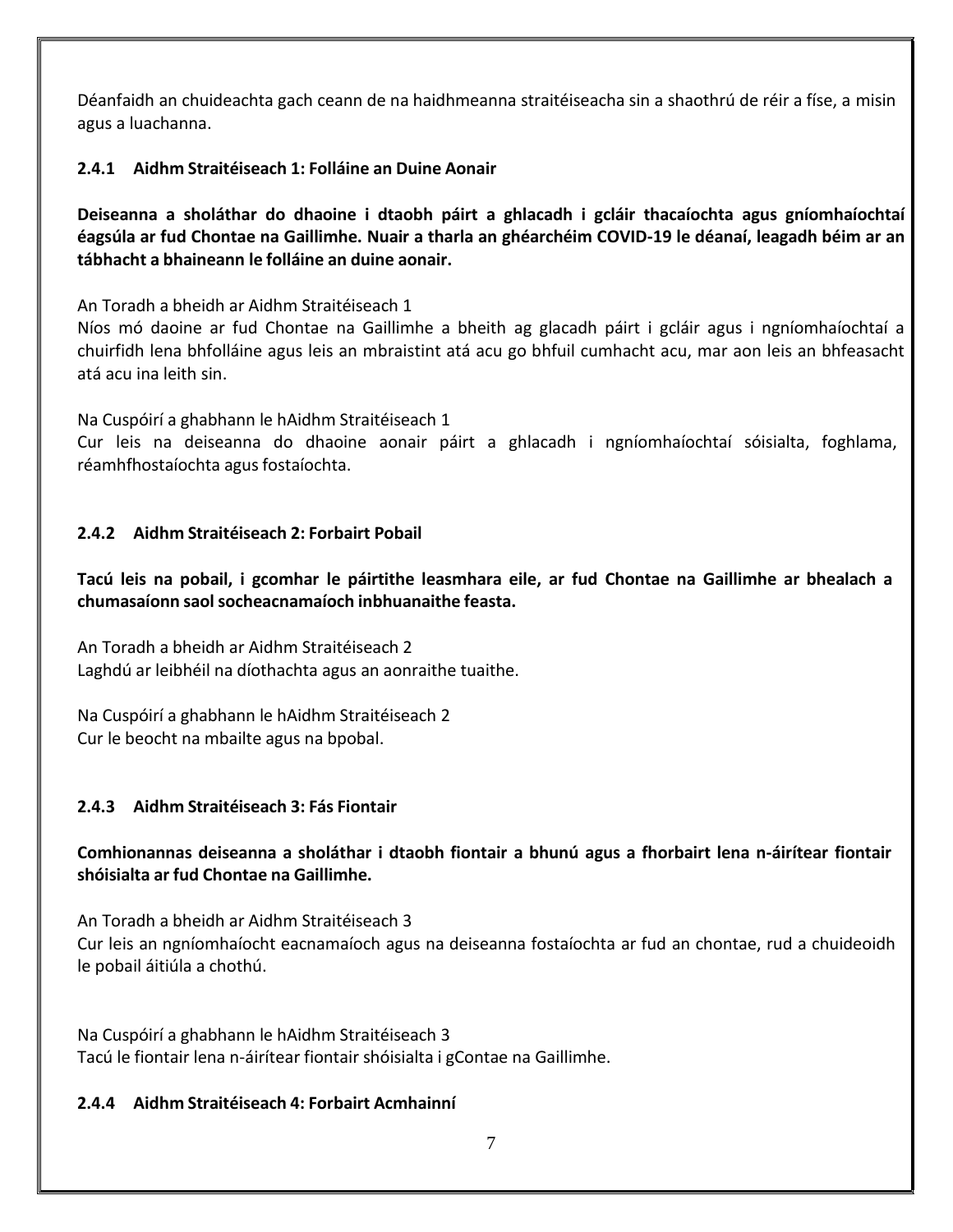Déanfaidh an chuideachta gach ceann de na haidhmeanna straitéiseacha sin a shaothrú de réir a físe, a misin agus a luachanna.

#### **2.4.1 Aidhm Straitéiseach 1: Folláine an Duine Aonair**

**Deiseanna a sholáthar do dhaoine i dtaobh páirt a ghlacadh i gcláir thacaíochta agus gníomhaíochtaí** éagsúla ar fud Chontae na Gaillimhe. Nuair a tharla an ghéarchéim COVID-19 le déanaí, leagadh béim ar an **tábhacht a bhaineann le folláine an duine aonair.**

An Toradh a bheidh ar Aidhm Straitéiseach 1

Níos mó daoine ar fud Chontae na Gaillimhe a bheith ag glacadh páirt i gcláir agus i ngníomhaíochtaí a chuirfidh lena bhfolláine agus leis an mbraistint atá acu go bhfuil cumhacht acu, mar aon leis an bhfeasacht atá acu ina leith sin.

Na Cuspóirí a ghabhann le hAidhm Straitéiseach 1

Cur leis na deiseanna do dhaoine aonair páirt a ghlacadh i ngníomhaíochtaí sóisialta, foghlama, réamhfhostaíochta agus fostaíochta.

#### **2.4.2 Aidhm Straitéiseach 2: Forbairt Pobail**

Tacú leis na pobail, i gcomhar le páirtithe leasmhara eile, ar fud Chontae na Gaillimhe ar bhealach a **chumasaíonn saolsocheacnamaíoch inbhuanaithe feasta.**

An Toradh a bheidh ar Aidhm Straitéiseach 2 Laghdú ar leibhéil na díothachta agus an aonraithe tuaithe.

Na Cuspóirí a ghabhann le hAidhm Straitéiseach 2 Cur le beocht na mbailte agus na bpobal.

#### **2.4.3 Aidhm Straitéiseach 3: Fás Fiontair**

#### **Comhionannas deiseanna a sholáthar i dtaobh fiontair a bhunú agus a fhorbairt lena n-áirítear fiontair shóisialta ar fud Chontae na Gaillimhe.**

An Toradh a bheidh ar Aidhm Straitéiseach 3 Cur leis an ngníomhaíocht eacnamaíoch agus na deiseanna fostaíochta ar fud an chontae, rud a chuideoidh le pobail áitiúla a chothú.

Na Cuspóirí a ghabhann le hAidhm Straitéiseach 3 Tacú le fiontair lena n-áirítear fiontair shóisialta i gContae na Gaillimhe.

#### **2.4.4 Aidhm Straitéiseach 4: Forbairt Acmhainní**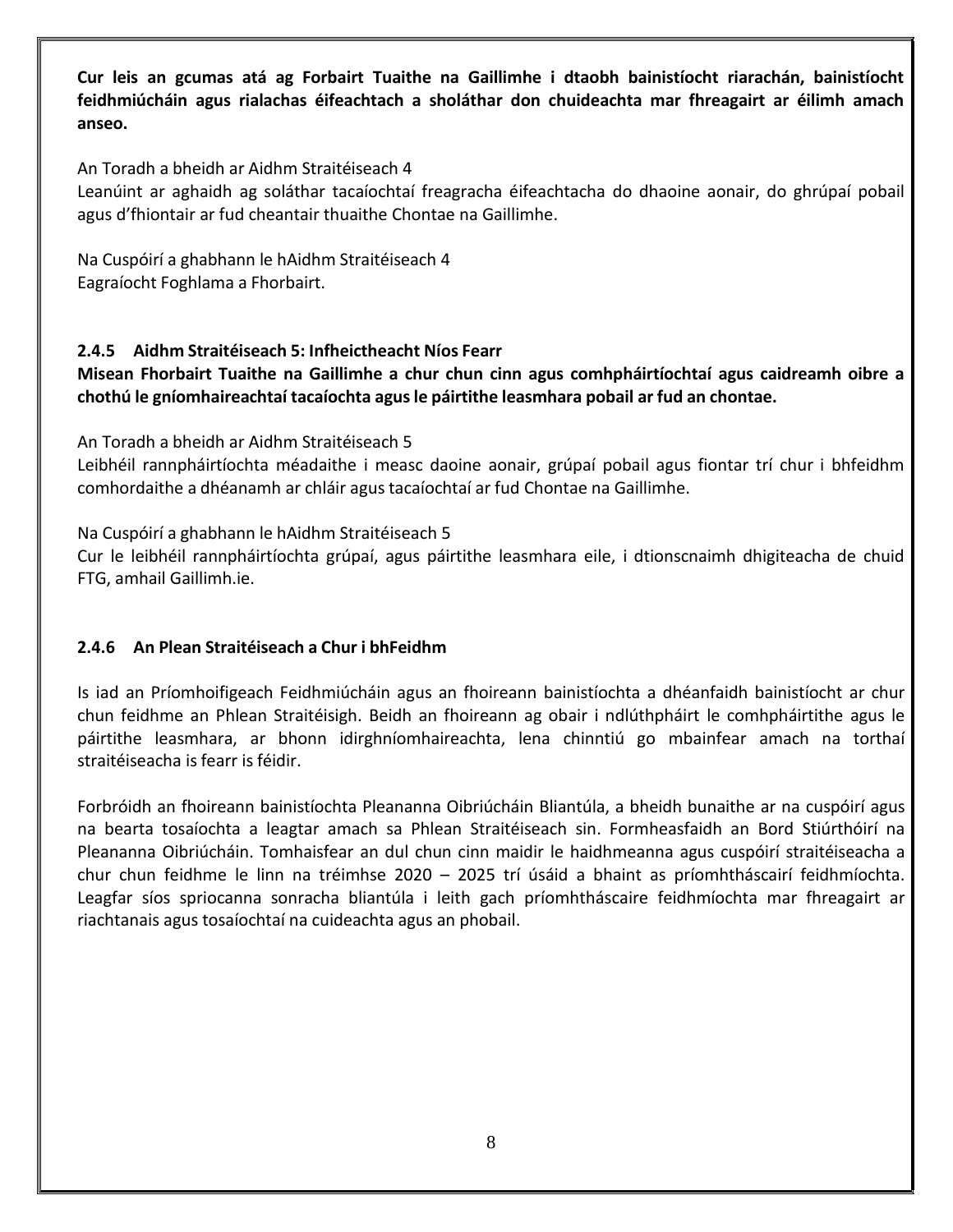**Cur leis an gcumas atá ag Forbairt Tuaithe na Gaillimhe i dtaobh bainistíocht riarachán, bainistíocht feidhmiúcháin agus rialachas éifeachtach a sholáthar don chuideachta mar fhreagairt ar éilimh amach anseo.**

An Toradh a bheidh ar Aidhm Straitéiseach 4

Leanúint ar aghaidh ag soláthar tacaíochtaí freagracha éifeachtacha do dhaoine aonair, do ghrúpaí pobail agus d'fhiontair ar fud cheantair thuaithe Chontae na Gaillimhe.

Na Cuspóirí a ghabhann le hAidhm Straitéiseach 4 Eagraíocht Foghlama a Fhorbairt.

#### **2.4.5 Aidhm Straitéiseach 5: Infheictheacht Níos Fearr**

**Misean Fhorbairt Tuaithe na Gaillimhe a chur chun cinn agus comhpháirtíochtaí agus caidreamh oibre a chothú le gníomhaireachtaí tacaíochta agusle páirtithe leasmhara pobail ar fud an chontae.**

An Toradh a bheidh ar Aidhm Straitéiseach 5

Leibhéil rannpháirtíochta méadaithe i measc daoine aonair, grúpaí pobail agus fiontar trí chur i bhfeidhm comhordaithe a dhéanamh ar chláir agus tacaíochtaí ar fud Chontae na Gaillimhe.

Na Cuspóirí a ghabhann le hAidhm Straitéiseach 5

Cur le leibhéil rannpháirtíochta grúpaí, agus páirtithe leasmhara eile, i dtionscnaimh dhigiteacha de chuid FTG, amhail Gaillimh.ie.

#### **2.4.6 An Plean Straitéiseach a Chur i bhFeidhm**

Is iad an Príomhoifigeach Feidhmiúcháin agus an fhoireann bainistíochta a dhéanfaidh bainistíocht ar chur chun feidhme an Phlean Straitéisigh. Beidh an fhoireann ag obair i ndlúthpháirt le comhpháirtithe agus le páirtithe leasmhara, ar bhonn idirghníomhaireachta, lena chinntiú go mbainfear amach na torthaí straitéiseacha is fearr is féidir.

Forbróidh an fhoireann bainistíochta Pleananna Oibriúcháin Bliantúla, a bheidh bunaithe ar na cuspóirí agus na bearta tosaíochta a leagtar amach sa Phlean Straitéiseach sin. Formheasfaidh an Bord Stiúrthóirí na Pleananna Oibriúcháin. Tomhaisfear an dul chun cinn maidir le haidhmeanna agus cuspóirí straitéiseacha a chur chun feidhme le linn na tréimhse 2020 – 2025 trí úsáid a bhaint as príomhtháscairí feidhmíochta. Leagfar síos spriocanna sonracha bliantúla i leith gach príomhtháscaire feidhmíochta mar fhreagairt ar riachtanais agus tosaíochtaí na cuideachta agus an phobail.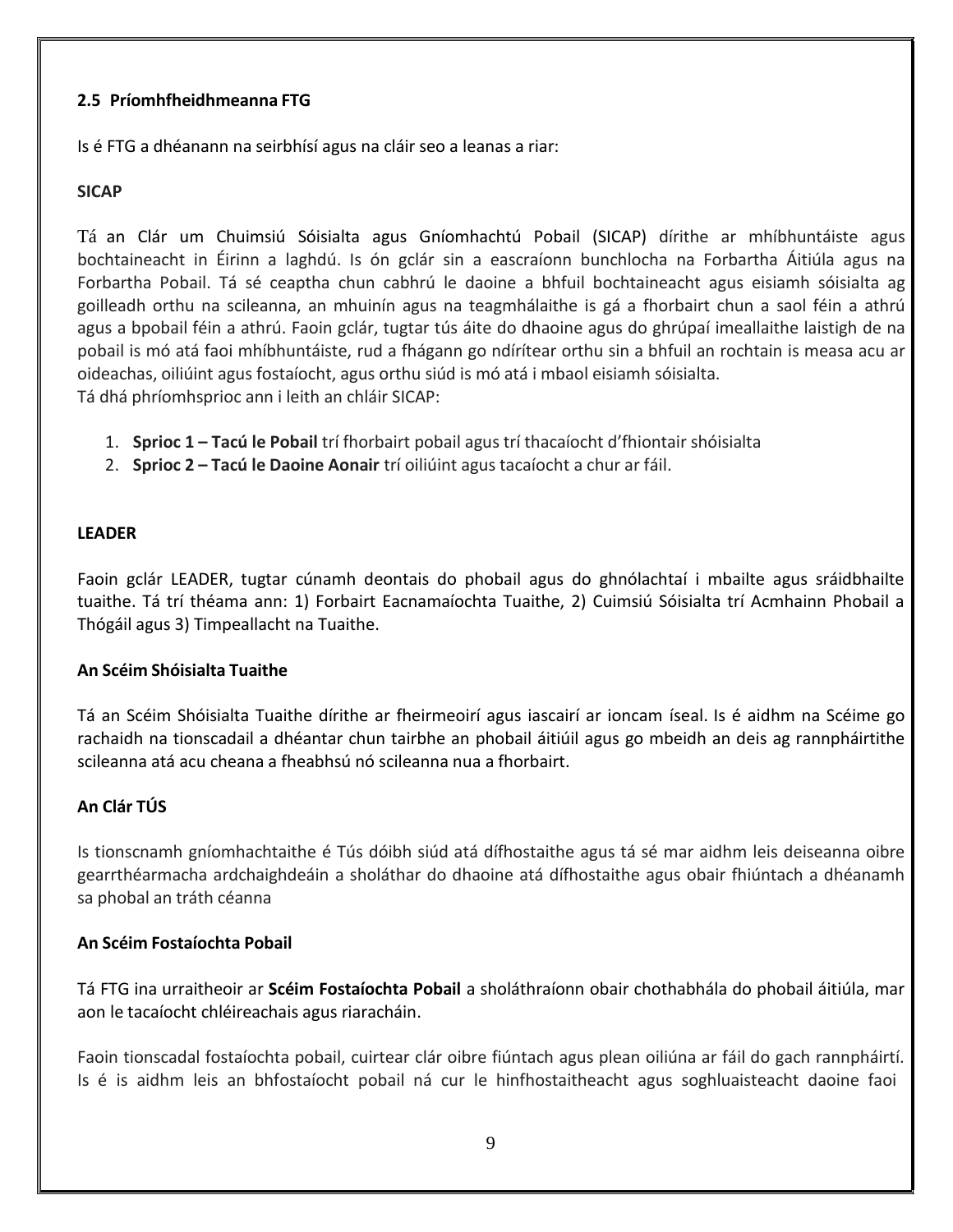#### <span id="page-8-0"></span>**2.5 Príomhfheidhmeanna FTG**

Is é FTG a dhéanann na seirbhísí agus na cláir seo a leanas a riar:

#### **SICAP**

Tá an Clár um Chuimsiú Sóisialta agus Gníomhachtú Pobail (SICAP) dírithe ar mhíbhuntáiste agus bochtaineacht in Éirinn a laghdú. Is ón gclár sin a eascraíonn bunchlocha na Forbartha Áitiúla agus na Forbartha Pobail. Tá sé ceaptha chun cabhrú le daoine a bhfuil bochtaineacht agus eisiamh sóisialta ag goilleadh orthu na scileanna, an mhuinín agus na teagmhálaithe is gá a fhorbairt chun a saol féin a athrú agus a bpobail féin a athrú. Faoin gclár, tugtar tús áite do dhaoine agus do ghrúpaí imeallaithe laistigh de na pobail is mó atá faoi mhíbhuntáiste, rud a fhágann go ndírítear orthu sin a bhfuil an rochtain is measa acu ar oideachas, oiliúint agus fostaíocht, agus orthu siúd is mó atá i mbaol eisiamh sóisialta. Tá dhá phríomhsprioc ann i leith an chláir SICAP:

- 1. **Sprioc 1 – Tacú le Pobail** trí fhorbairt pobail agus trí thacaíocht d'fhiontair shóisialta
- 2. **Sprioc 2 – Tacú le Daoine Aonair** trí oiliúint agus tacaíocht a chur ar fáil.

#### **LEADER**

Faoin gclár LEADER, tugtar cúnamh deontais do phobail agus do ghnólachtaí i mbailte agus sráidbhailte tuaithe. Tá trí théama ann: 1) Forbairt Eacnamaíochta Tuaithe, 2) Cuimsiú Sóisialta trí Acmhainn Phobail a Thógáil agus 3) Timpeallacht na Tuaithe.

#### **An Scéim Shóisialta Tuaithe**

Tá an Scéim Shóisialta Tuaithe dírithe ar fheirmeoirí agus iascairí ar ioncam íseal. Is é aidhm na Scéime go rachaidh na tionscadail a dhéantar chun tairbhe an phobail áitiúil agus go mbeidh an deis ag rannpháirtithe scileanna atá acu cheana a fheabhsú nó scileanna nua a fhorbairt.

#### **An Clár TÚS**

Is tionscnamh gníomhachtaithe é Tús dóibh siúd atá dífhostaithe agus tá sé mar aidhm leis deiseanna oibre gearrthéarmacha ardchaighdeáin a sholáthar do dhaoine atá dífhostaithe agus obair fhiúntach a dhéanamh sa phobal an tráth céanna

#### **An Scéim Fostaíochta Pobail**

Tá FTG ina urraitheoir ar **Scéim Fostaíochta Pobail** a sholáthraíonn obair chothabhála do phobail áitiúla, mar aon le tacaíocht chléireachais agus riaracháin.

Faoin tionscadal fostaíochta pobail, cuirtear clár oibre fiúntach agus plean oiliúna ar fáil do gach rannpháirtí. Is é is aidhm leis an bhfostaíocht pobail ná cur le hinfhostaitheacht agus soghluaisteacht daoine faoi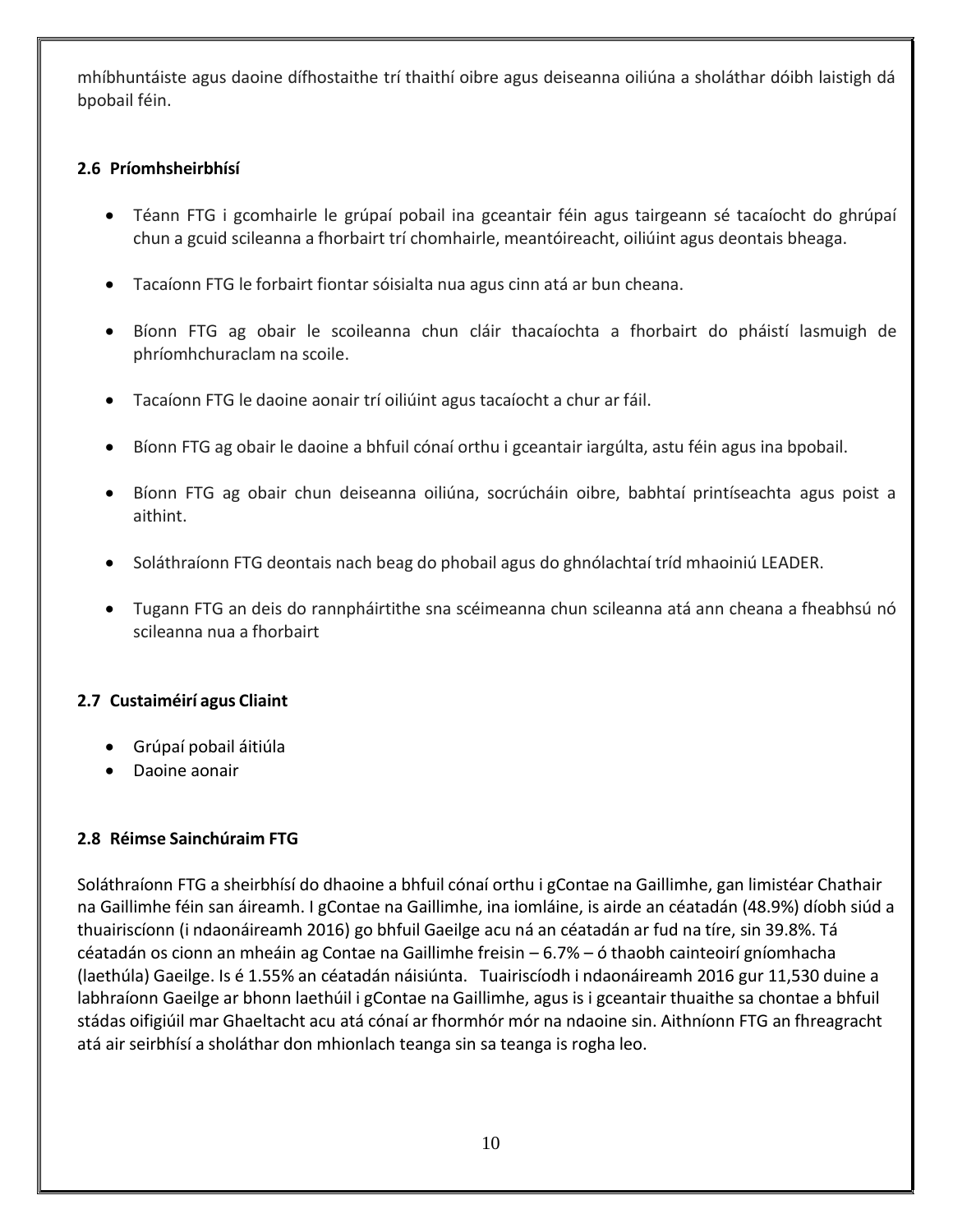mhíbhuntáiste agus daoine dífhostaithe trí thaithí oibre agus deiseanna oiliúna a sholáthar dóibh laistigh dá bpobail féin.

#### <span id="page-9-0"></span>**2.6 Príomhsheirbhísí**

- Téann FTG i gcomhairle le grúpaí pobail ina gceantair féin agus tairgeann sé tacaíocht do ghrúpaí chun a gcuid scileanna a fhorbairt trí chomhairle, meantóireacht, oiliúint agus deontais bheaga.
- Tacaíonn FTG le forbairt fiontar sóisialta nua agus cinn atá ar bun cheana.
- Bíonn FTG ag obair le scoileanna chun cláir thacaíochta a fhorbairt do pháistí lasmuigh de phríomhchuraclam na scoile.
- Tacaíonn FTG le daoine aonair trí oiliúint agus tacaíocht a chur ar fáil.
- Bíonn FTG ag obair le daoine a bhfuil cónaí orthu i gceantair iargúlta, astu féin agus ina bpobail.
- Bíonn FTG ag obair chun deiseanna oiliúna, socrúcháin oibre, babhtaí printíseachta agus poist a aithint.
- Soláthraíonn FTG deontais nach beag do phobail agus do ghnólachtaí tríd mhaoiniú LEADER.
- Tugann FTG an deis do rannpháirtithe sna scéimeanna chun scileanna atá ann cheana a fheabhsú nó scileanna nua a fhorbairt

#### <span id="page-9-1"></span>**2.7 Custaiméirí agus Cliaint**

- Grúpaí pobail áitiúla
- Daoine aonair

#### <span id="page-9-2"></span>**2.8 Réimse Sainchúraim FTG**

Soláthraíonn FTG a sheirbhísí do dhaoine a bhfuil cónaí orthu i gContae na Gaillimhe, gan limistéar Chathair na Gaillimhe féin san áireamh. I gContae na Gaillimhe, ina iomláine, is airde an céatadán (48.9%) díobh siúd a thuairiscíonn (i ndaonáireamh 2016) go bhfuil Gaeilge acu ná an céatadán ar fud na tíre, sin 39.8%. Tá céatadán os cionn an mheáin ag Contae na Gaillimhe freisin – 6.7% – ó thaobh cainteoirí gníomhacha (laethúla) Gaeilge. Is é 1.55% an céatadán náisiúnta. Tuairiscíodh i ndaonáireamh 2016 gur 11,530 duine a labhraíonn Gaeilge ar bhonn laethúil i gContae na Gaillimhe, agus is i gceantair thuaithe sa chontae a bhfuil stádas oifigiúil mar Ghaeltacht acu atá cónaí ar fhormhór mór na ndaoine sin. Aithníonn FTG an fhreagracht atá air seirbhísí a sholáthar don mhionlach teanga sin sa teanga is rogha leo.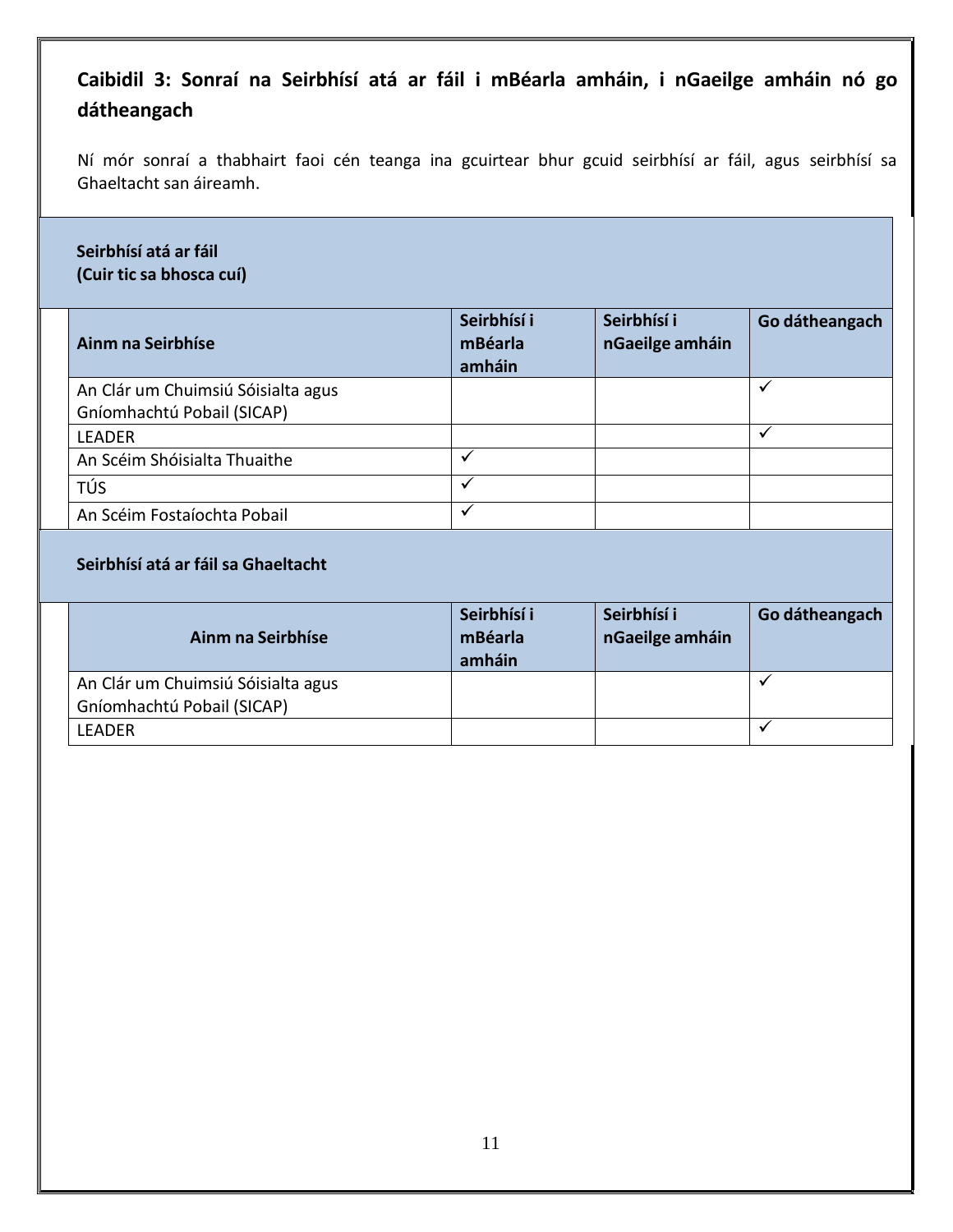# <span id="page-10-0"></span>**Caibidil 3: Sonraí na Seirbhísí atá ar fáil i mBéarla amháin, i nGaeilge amháin nó go dátheangach**

Ní mór sonraí a thabhairt faoi cén teanga ina gcuirtear bhur gcuid seirbhísí ar fáil, agus seirbhísí sa Ghaeltacht san áireamh.

#### **Seirbhísí atá ar fáil (Cuir tic sa bhosca cuí)**

| Ainm na Seirbhíse                  | Seirbhísí i<br>mBéarla<br>amháin | Seirbhísí i<br>nGaeilge amháin | Go dátheangach |
|------------------------------------|----------------------------------|--------------------------------|----------------|
| An Clár um Chuimsiú Sóisialta agus |                                  |                                |                |
| Gníomhachtú Pobail (SICAP)         |                                  |                                |                |
| <b>LEADER</b>                      |                                  |                                |                |
| An Scéim Shóisialta Thuaithe       | $\checkmark$                     |                                |                |
| TÚS                                | ✓                                |                                |                |
| An Scéim Fostaíochta Pobail        |                                  |                                |                |

#### **Seirbhísí atá ar fáil sa Ghaeltacht**

| Ainm na Seirbhíse                                                | Seirbhísí i<br>mBéarla<br>amháin | Seirbhísí i<br>nGaeilge amháin | Go dátheangach |
|------------------------------------------------------------------|----------------------------------|--------------------------------|----------------|
| An Clár um Chuimsiú Sóisialta agus<br>Gníomhachtú Pobail (SICAP) |                                  |                                |                |
| LEADER                                                           |                                  |                                |                |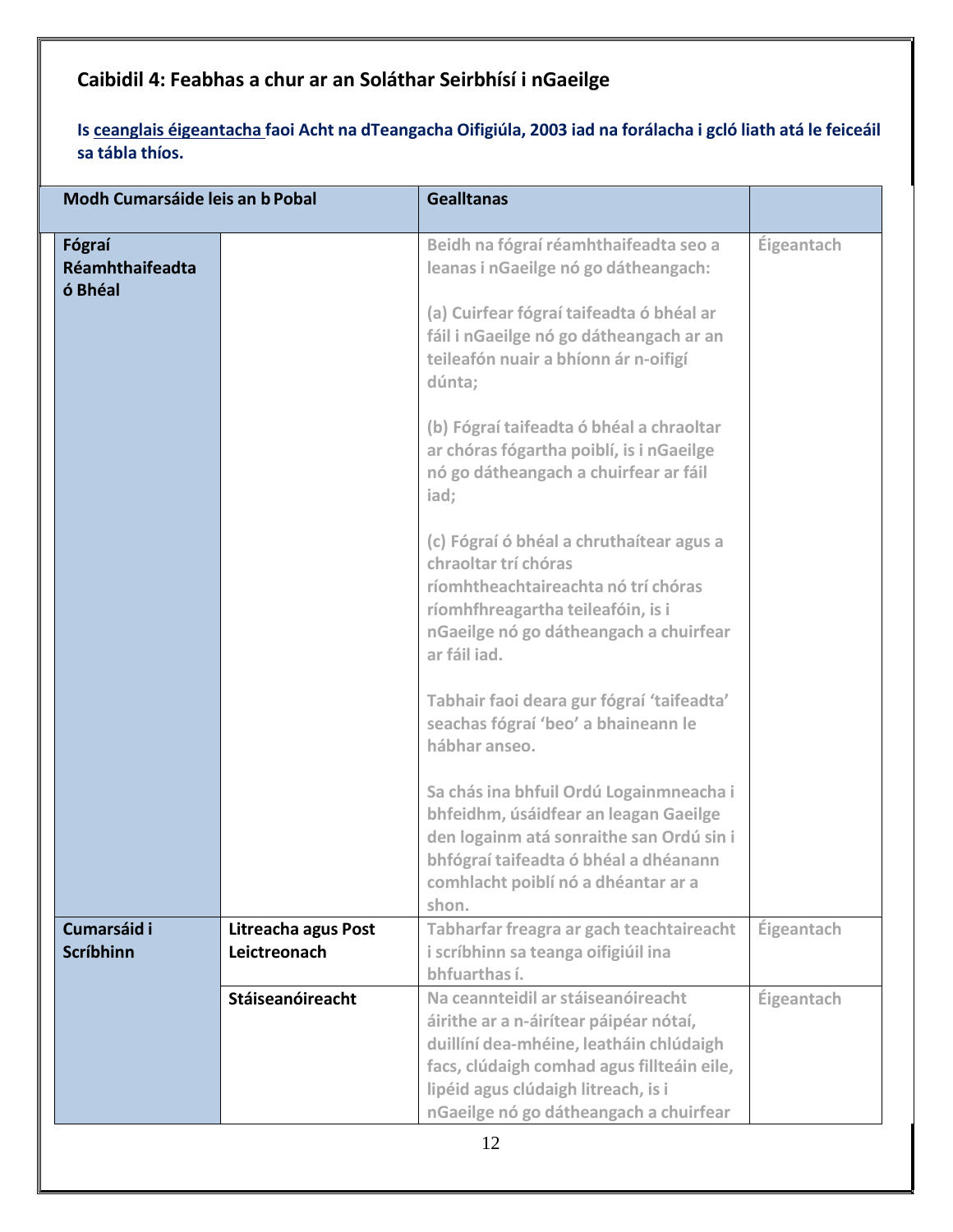# <span id="page-11-0"></span>**Caibidil 4: Feabhas a chur ar an Soláthar Seirbhísí i nGaeilge**

Is ceanglais éigeantacha faoi Acht na dTeangacha Oifigiúla, 2003 iad na forálacha i gcló liath atá le feiceáil **sa tábla thíos.**

| Modh Cumarsáide leis an b Pobal      |                                     | <b>Gealltanas</b>                                                                                                                                                                                                                                                                                                                                                                                                                                                                                                                                                                                                                                                                                                                                                                                                                                                                                       |            |  |
|--------------------------------------|-------------------------------------|---------------------------------------------------------------------------------------------------------------------------------------------------------------------------------------------------------------------------------------------------------------------------------------------------------------------------------------------------------------------------------------------------------------------------------------------------------------------------------------------------------------------------------------------------------------------------------------------------------------------------------------------------------------------------------------------------------------------------------------------------------------------------------------------------------------------------------------------------------------------------------------------------------|------------|--|
| Fógraí<br>Réamhthaifeadta<br>ó Bhéal |                                     | Beidh na fógraí réamhthaifeadta seo a<br>leanas i nGaeilge nó go dátheangach:<br>(a) Cuirfear fógraí taifeadta ó bhéal ar<br>fáil i nGaeilge nó go dátheangach ar an<br>teileafón nuair a bhíonn ár n-oifigí<br>dúnta;<br>(b) Fógraí taifeadta ó bhéal a chraoltar<br>ar chóras fógartha poiblí, is i nGaeilge<br>nó go dátheangach a chuirfear ar fáil<br>iad;<br>(c) Fógraí ó bhéal a chruthaítear agus a<br>chraoltar trí chóras<br>ríomhtheachtaireachta nó trí chóras<br>ríomhfhreagartha teileafóin, is i<br>nGaeilge nó go dátheangach a chuirfear<br>ar fáil iad.<br>Tabhair faoi deara gur fógraí 'taifeadta'<br>seachas fógraí 'beo' a bhaineann le<br>hábhar anseo.<br>Sa chás ina bhfuil Ordú Logainmneacha i<br>bhfeidhm, úsáidfear an leagan Gaeilge<br>den logainm atá sonraithe san Ordú sin i<br>bhfógraí taifeadta ó bhéal a dhéanann<br>comhlacht poiblí nó a dhéantar ar a<br>shon. | Éigeantach |  |
| Cumarsáid i<br><b>Scríbhinn</b>      | Litreacha agus Post<br>Leictreonach | Tabharfar freagra ar gach teachtaireacht<br>i scríbhinn sa teanga oifigiúil ina<br>bhfuarthas í.                                                                                                                                                                                                                                                                                                                                                                                                                                                                                                                                                                                                                                                                                                                                                                                                        | Éigeantach |  |
|                                      | <b>Stáiseanóireacht</b>             | Na ceannteidil ar stáiseanóireacht<br>áirithe ar a n-áirítear páipéar nótaí,<br>duillíní dea-mhéine, leatháin chlúdaigh<br>facs, clúdaigh comhad agus fillteáin eile,<br>lipéid agus clúdaigh litreach, is i<br>nGaeilge nó go dátheangach a chuirfear                                                                                                                                                                                                                                                                                                                                                                                                                                                                                                                                                                                                                                                  | Éigeantach |  |
| 12                                   |                                     |                                                                                                                                                                                                                                                                                                                                                                                                                                                                                                                                                                                                                                                                                                                                                                                                                                                                                                         |            |  |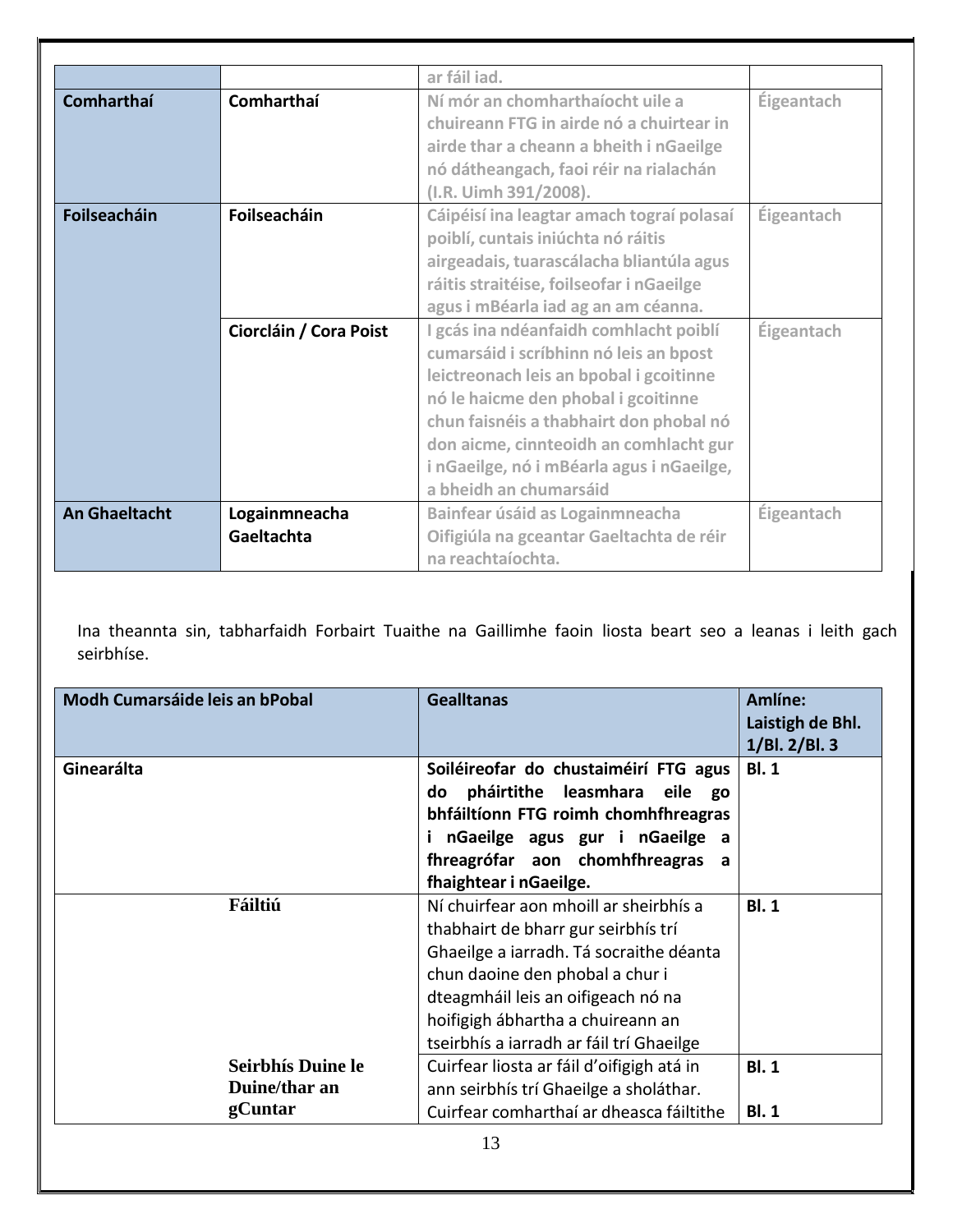|                      |                        | ar fáil iad.                              |                   |
|----------------------|------------------------|-------------------------------------------|-------------------|
| <b>Comharthaí</b>    | Comharthaí             | Ní mór an chomharthaíocht uile a          | Éigeantach        |
|                      |                        | chuireann FTG in airde nó a chuirtear in  |                   |
|                      |                        | airde thar a cheann a bheith i nGaeilge   |                   |
|                      |                        | nó dátheangach, faoi réir na rialachán    |                   |
|                      |                        | (I.R. Uimh 391/2008).                     |                   |
| <b>Foilseacháin</b>  | Foilseacháin           | Cáipéisí ina leagtar amach tograí polasaí | <b>Éigeantach</b> |
|                      |                        | poiblí, cuntais iniúchta nó ráitis        |                   |
|                      |                        | airgeadais, tuarascálacha bliantúla agus  |                   |
|                      |                        | ráitis straitéise, foilseofar i nGaeilge  |                   |
|                      |                        | agus i mBéarla iad ag an am céanna.       |                   |
|                      | Ciorcláin / Cora Poist | I gcás ina ndéanfaidh comhlacht poiblí    | Éigeantach        |
|                      |                        | cumarsáid i scríbhinn nó leis an bpost    |                   |
|                      |                        | leictreonach leis an bpobal i gcoitinne   |                   |
|                      |                        | nó le haicme den phobal i gcoitinne       |                   |
|                      |                        | chun faisnéis a thabhairt don phobal nó   |                   |
|                      |                        | don aicme, cinnteoidh an comhlacht gur    |                   |
|                      |                        | i nGaeilge, nó i mBéarla agus i nGaeilge, |                   |
|                      |                        | a bheidh an chumarsáid                    |                   |
| <b>An Ghaeltacht</b> | Logainmneacha          | Bainfear úsáid as Logainmneacha           | Éigeantach        |
|                      | Gaeltachta             | Oifigiúla na gceantar Gaeltachta de réir  |                   |
|                      |                        | na reachtaíochta.                         |                   |

Ina theannta sin, tabharfaidh Forbairt Tuaithe na Gaillimhe faoin liosta beart seo a leanas i leith gach seirbhíse.

| <b>Modh Cumarsáide leis an bPobal</b> | <b>Gealltanas</b>                                                                                                                                                                                                                                                                  | Amlíne:<br>Laistigh de Bhl.<br>1/BI. 2/BI. 3 |
|---------------------------------------|------------------------------------------------------------------------------------------------------------------------------------------------------------------------------------------------------------------------------------------------------------------------------------|----------------------------------------------|
| Ginearálta                            | Soiléireofar do chustaiméirí FTG agus<br>pháirtithe leasmhara eile go<br>do<br>bhfáiltíonn FTG roimh chomhfhreagras<br>nGaeilge agus gur i nGaeilge a<br>fhreagrófar aon chomhfhreagras a<br>fhaightear i nGaeilge.                                                                | <b>BI.1</b>                                  |
| Fáiltiú                               | Ní chuirfear aon mhoill ar sheirbhís a<br>thabhairt de bharr gur seirbhís trí<br>Ghaeilge a iarradh. Tá socraithe déanta<br>chun daoine den phobal a chur i<br>dteagmháil leis an oifigeach nó na<br>hoifigigh ábhartha a chuireann an<br>tseirbhís a iarradh ar fáil trí Ghaeilge | BI.1                                         |
| <b>Seirbhís Duine le</b>              | Cuirfear liosta ar fáil d'oifigigh atá in                                                                                                                                                                                                                                          | <b>BI.1</b>                                  |
| Duine/thar an<br>gCuntar              | ann seirbhís trí Ghaeilge a sholáthar.<br>Cuirfear comharthaí ar dheasca fáiltithe                                                                                                                                                                                                 | <b>BI.1</b>                                  |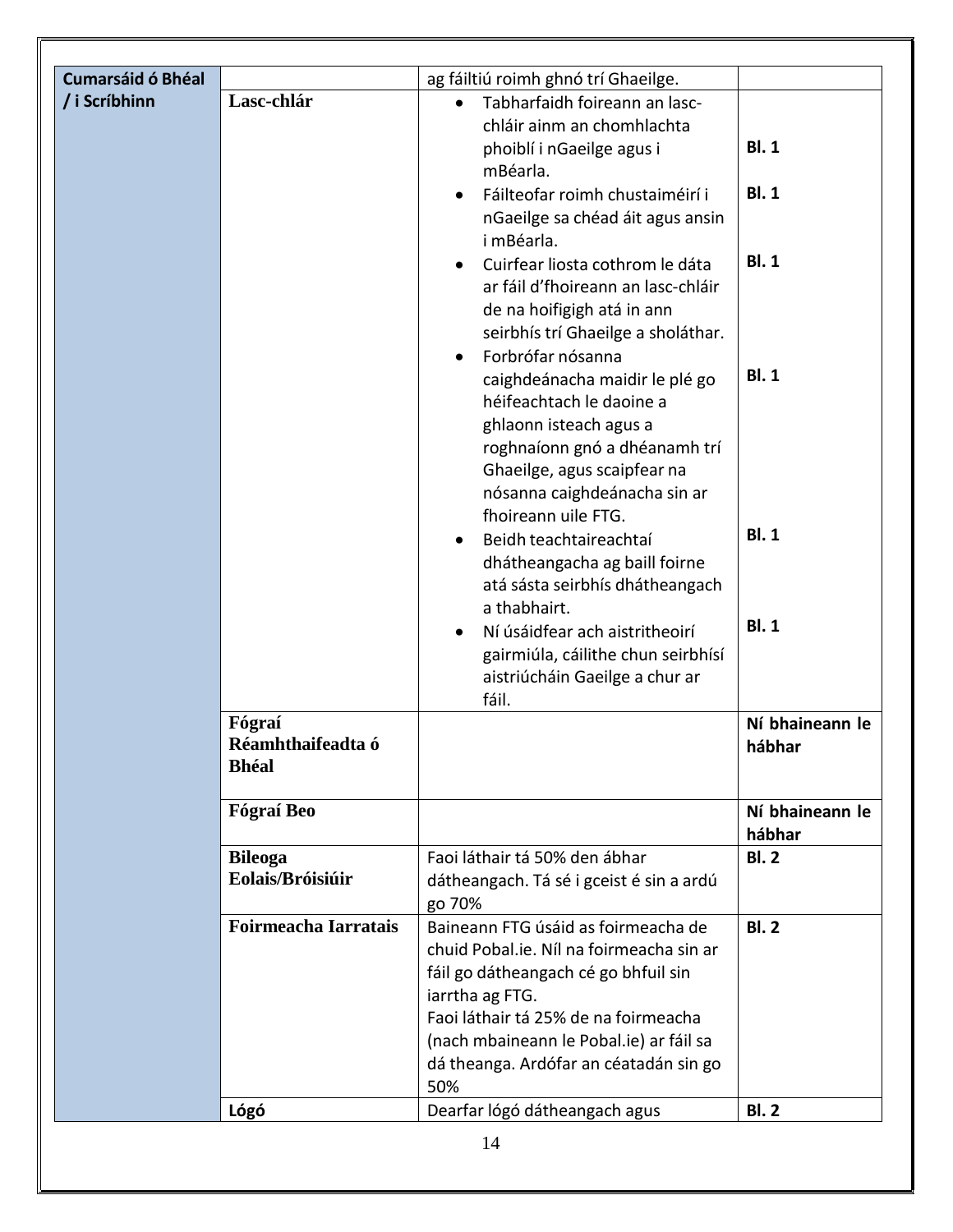| <b>Cumarsáid ó Bhéal</b> |                                             | ag fáiltiú roimh ghnó trí Ghaeilge.                                                                                                                                                                                                                                                                                                                                                                                                                                                                                                                                                                                                                                                                                                                                                                |                                                                                        |
|--------------------------|---------------------------------------------|----------------------------------------------------------------------------------------------------------------------------------------------------------------------------------------------------------------------------------------------------------------------------------------------------------------------------------------------------------------------------------------------------------------------------------------------------------------------------------------------------------------------------------------------------------------------------------------------------------------------------------------------------------------------------------------------------------------------------------------------------------------------------------------------------|----------------------------------------------------------------------------------------|
| / i Scríbhinn            | Lasc-chlár                                  | Tabharfaidh foireann an lasc-<br>chláir ainm an chomhlachta<br>phoiblí i nGaeilge agus i<br>mBéarla.<br>Fáilteofar roimh chustaiméirí i<br>nGaeilge sa chéad áit agus ansin<br>i mBéarla.<br>Cuirfear liosta cothrom le dáta<br>ar fáil d'fhoireann an lasc-chláir<br>de na hoifigigh atá in ann<br>seirbhís trí Ghaeilge a sholáthar.<br>Forbrófar nósanna<br>caighdeánacha maidir le plé go<br>héifeachtach le daoine a<br>ghlaonn isteach agus a<br>roghnaíonn gnó a dhéanamh trí<br>Ghaeilge, agus scaipfear na<br>nósanna caighdeánacha sin ar<br>fhoireann uile FTG.<br>Beidh teachtaireachtaí<br>dhátheangacha ag baill foirne<br>atá sásta seirbhís dhátheangach<br>a thabhairt.<br>Ní úsáidfear ach aistritheoirí<br>gairmiúla, cáilithe chun seirbhísí<br>aistriúcháin Gaeilge a chur ar | <b>BI.1</b><br><b>BI.1</b><br><b>BI.1</b><br><b>BI.1</b><br><b>BI.1</b><br><b>BI.1</b> |
|                          | Fógraí<br>Réamhthaifeadta ó<br><b>Bhéal</b> | fáil.                                                                                                                                                                                                                                                                                                                                                                                                                                                                                                                                                                                                                                                                                                                                                                                              | Ní bhaineann le<br>hábhar                                                              |
|                          | Fógraí Beo                                  |                                                                                                                                                                                                                                                                                                                                                                                                                                                                                                                                                                                                                                                                                                                                                                                                    | Ní bhaineann le<br>hábhar                                                              |
|                          | <b>Bileoga</b><br>Eolais/Bróisiúir          | Faoi láthair tá 50% den ábhar<br>dátheangach. Tá sé i gceist é sin a ardú<br>go 70%                                                                                                                                                                                                                                                                                                                                                                                                                                                                                                                                                                                                                                                                                                                | <b>Bl. 2</b>                                                                           |
|                          | <b>Foirmeacha Iarratais</b>                 | Baineann FTG úsáid as foirmeacha de<br>chuid Pobal.ie. Níl na foirmeacha sin ar<br>fáil go dátheangach cé go bhfuil sin<br>iarrtha ag FTG.<br>Faoi láthair tá 25% de na foirmeacha<br>(nach mbaineann le Pobal.ie) ar fáil sa<br>dá theanga. Ardófar an céatadán sin go<br>50%                                                                                                                                                                                                                                                                                                                                                                                                                                                                                                                     | BI.2                                                                                   |
|                          | Lógó                                        | Dearfar lógó dátheangach agus                                                                                                                                                                                                                                                                                                                                                                                                                                                                                                                                                                                                                                                                                                                                                                      | <b>BI.2</b>                                                                            |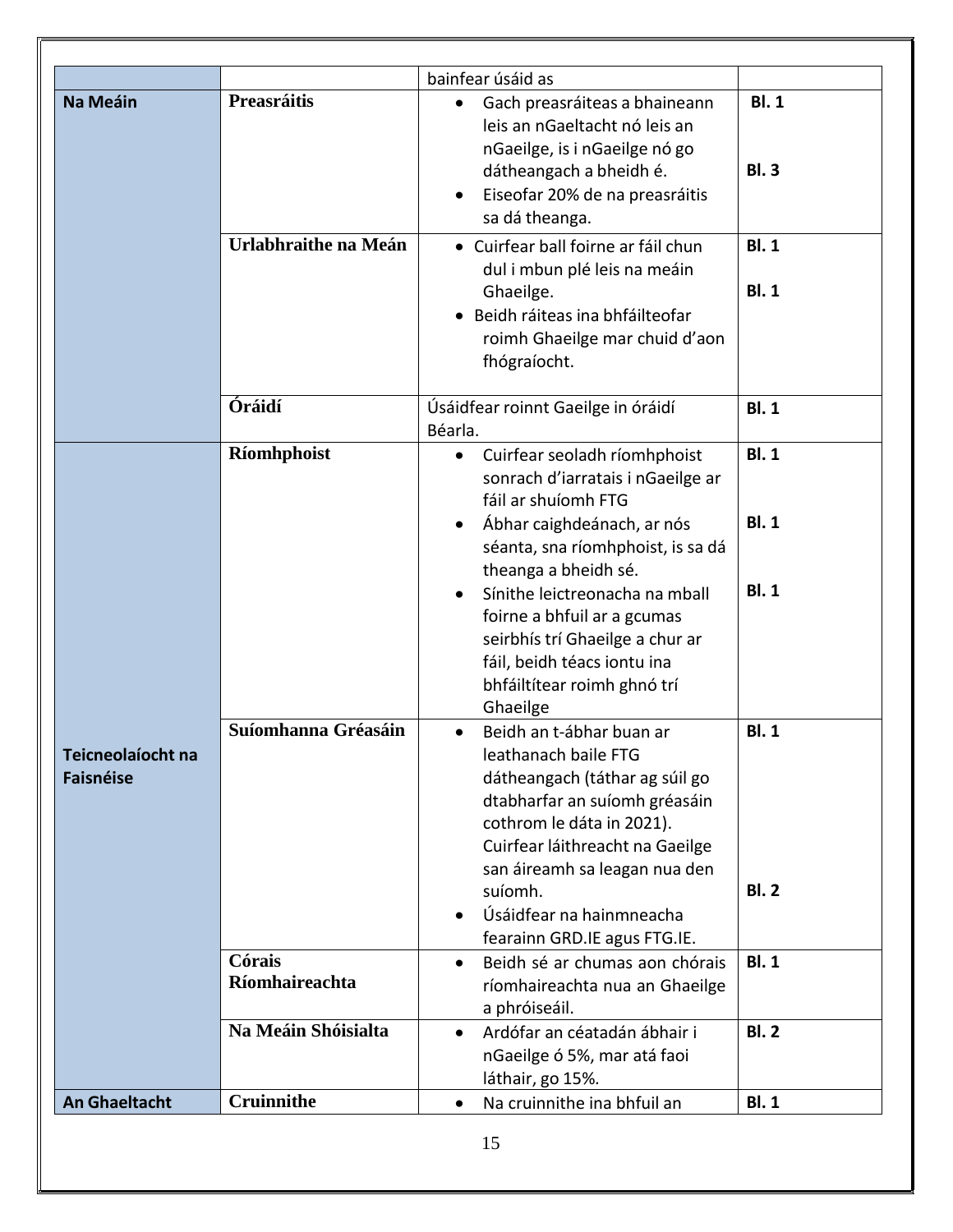|                                       |                          | bainfear úsáid as                                                                                                                                                                                                                                                                                    |                                           |
|---------------------------------------|--------------------------|------------------------------------------------------------------------------------------------------------------------------------------------------------------------------------------------------------------------------------------------------------------------------------------------------|-------------------------------------------|
| <b>Na Meáin</b>                       | Preasráitis              | Gach preasráiteas a bhaineann<br>٠<br>leis an nGaeltacht nó leis an<br>nGaeilge, is i nGaeilge nó go<br>dátheangach a bheidh é.<br>Eiseofar 20% de na preasráitis<br>sa dá theanga.                                                                                                                  | <b>BI.1</b><br><b>BI.3</b>                |
|                                       | Urlabhraithe na Meán     | • Cuirfear ball foirne ar fáil chun<br>dul i mbun plé leis na meáin<br>Ghaeilge.<br>Beidh ráiteas ina bhfáilteofar<br>roimh Ghaeilge mar chuid d'aon<br>fhógraíocht.                                                                                                                                 | <b>BI.1</b><br><b>BI.1</b>                |
|                                       | Óráidí                   | Úsáidfear roinnt Gaeilge in óráidí<br>Béarla.                                                                                                                                                                                                                                                        | <b>BI.1</b>                               |
|                                       | Ríomhphoist              | Cuirfear seoladh ríomhphoist<br>$\bullet$<br>sonrach d'iarratais i nGaeilge ar<br>fáil ar shuíomh FTG<br>Ábhar caighdeánach, ar nós<br>séanta, sna ríomhphoist, is sa dá<br>theanga a bheidh sé.<br>Sínithe leictreonacha na mball<br>foirne a bhfuil ar a gcumas<br>seirbhís trí Ghaeilge a chur ar | <b>BI.1</b><br><b>BI.1</b><br><b>BI.1</b> |
|                                       | Suíomhanna Gréasáin      | fáil, beidh téacs iontu ina<br>bhfáiltítear roimh ghnó trí<br>Ghaeilge<br>Beidh an t-ábhar buan ar<br>$\bullet$                                                                                                                                                                                      | <b>BI.1</b>                               |
| Teicneolaíocht na<br><b>Faisnéise</b> |                          | leathanach baile FTG<br>dátheangach (táthar ag súil go<br>dtabharfar an suíomh gréasáin<br>cothrom le dáta in 2021).<br>Cuirfear láithreacht na Gaeilge<br>san áireamh sa leagan nua den<br>suíomh.                                                                                                  | <b>BI.2</b>                               |
|                                       |                          | Úsáidfear na hainmneacha<br>fearainn GRD.IE agus FTG.IE.                                                                                                                                                                                                                                             |                                           |
|                                       | Córais<br>Ríomhaireachta | Beidh sé ar chumas aon chórais<br>$\bullet$<br>ríomhaireachta nua an Ghaeilge<br>a phróiseáil.                                                                                                                                                                                                       | <b>BI.1</b>                               |
|                                       | Na Meáin Shóisialta      | Ardófar an céatadán ábhair i<br>$\bullet$<br>nGaeilge ó 5%, mar atá faoi<br>láthair, go 15%.                                                                                                                                                                                                         | <b>BI.2</b>                               |
|                                       | <b>Cruinnithe</b>        | Na cruinnithe ina bhfuil an                                                                                                                                                                                                                                                                          | <b>BI.1</b>                               |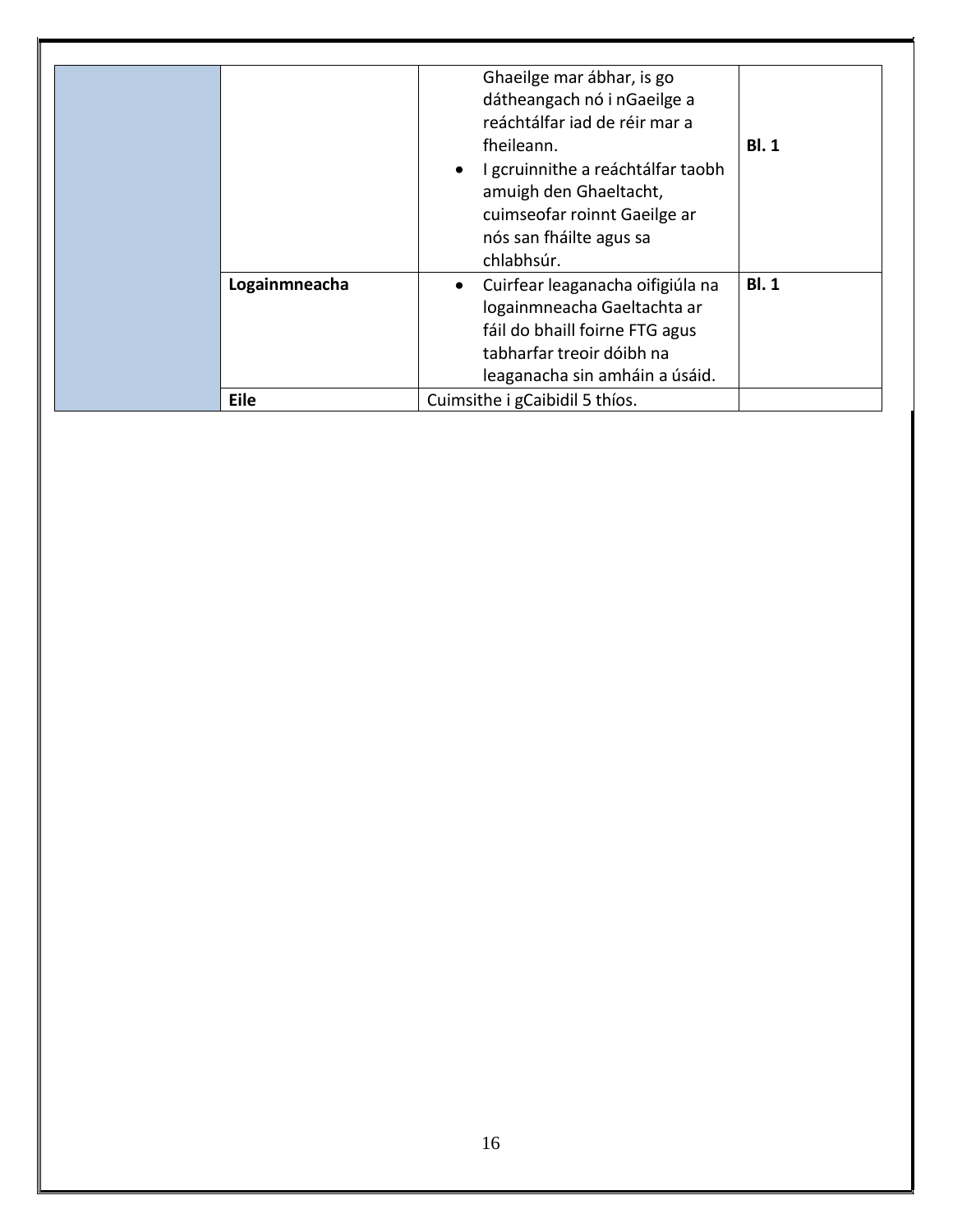|               | Ghaeilge mar ábhar, is go<br>dátheangach nó i nGaeilge a<br>reáchtálfar iad de réir mar a<br>fheileann.<br>I gcruinnithe a reáchtálfar taobh<br>$\bullet$<br>amuigh den Ghaeltacht,<br>cuimseofar roinnt Gaeilge ar<br>nós san fháilte agus sa<br>chlabhsúr. | <b>BI.1</b> |
|---------------|--------------------------------------------------------------------------------------------------------------------------------------------------------------------------------------------------------------------------------------------------------------|-------------|
| Logainmneacha | Cuirfear leaganacha oifigiúla na<br>٠<br>logainmneacha Gaeltachta ar<br>fáil do bhaill foirne FTG agus<br>tabharfar treoir dóibh na<br>leaganacha sin amháin a úsáid.                                                                                        | BI.1        |
| <b>Eile</b>   | Cuimsithe i gCaibidil 5 thíos.                                                                                                                                                                                                                               |             |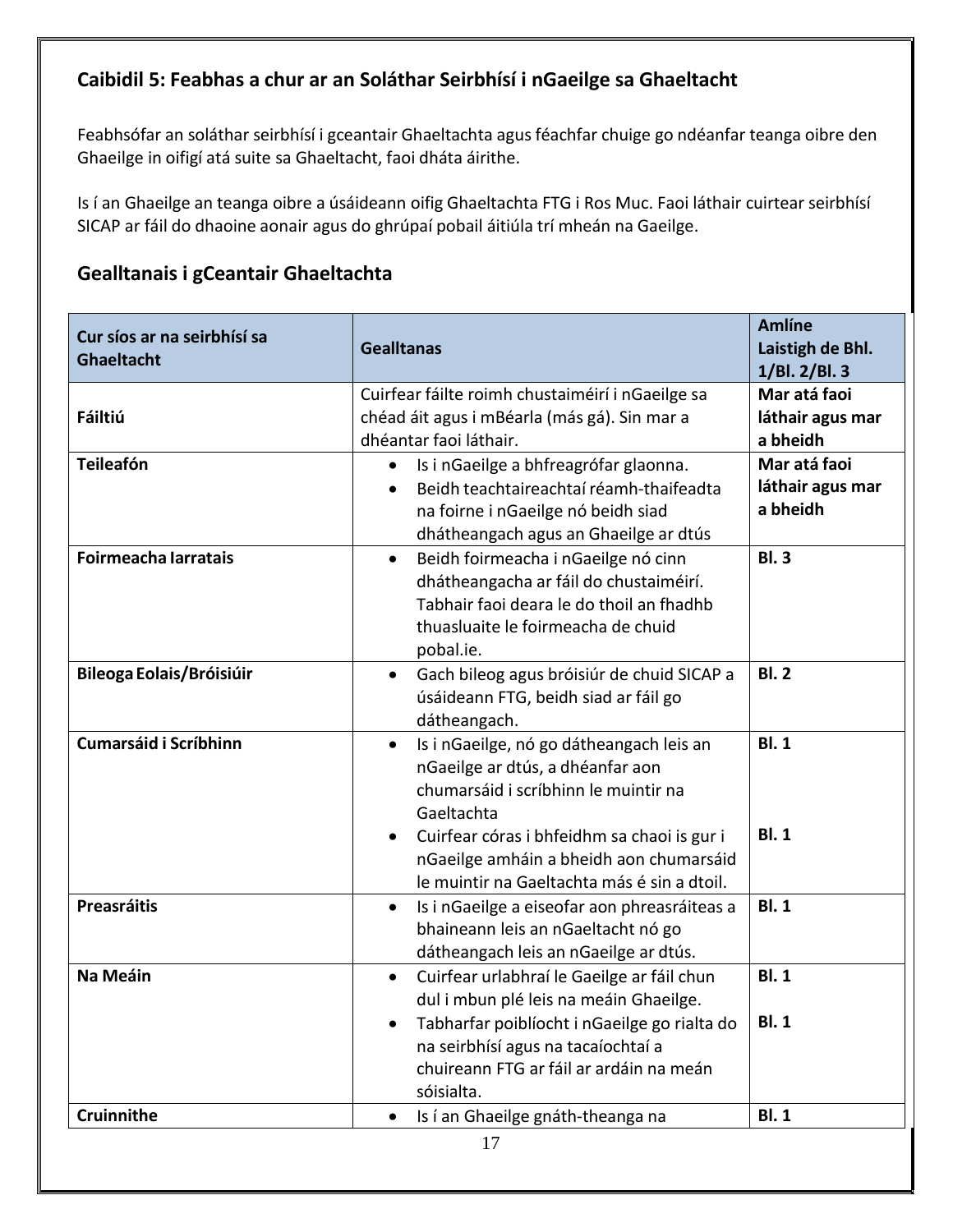## <span id="page-16-0"></span>**Caibidil 5: Feabhas a chur ar an Soláthar Seirbhísí i nGaeilge sa Ghaeltacht**

Feabhsófar an soláthar seirbhísí i gceantair Ghaeltachta agus féachfar chuige go ndéanfar teanga oibre den Ghaeilge in oifigí atá suite sa Ghaeltacht, faoi dháta áirithe.

Is í an Ghaeilge an teanga oibre a úsáideann oifig Ghaeltachta FTG i Ros Muc. Faoi láthair cuirtear seirbhísí SICAP ar fáil do dhaoine aonair agus do ghrúpaí pobail áitiúla trí mheán na Gaeilge.

#### **Gealltanais i gCeantair Ghaeltachta**

| Cur síos ar na seirbhísí sa<br>Ghaeltacht | <b>Gealltanas</b>                                                                                                                                                                                                                                | <b>Amlíne</b><br>Laistigh de Bhl.<br>1/BI. 2/BI. 3 |
|-------------------------------------------|--------------------------------------------------------------------------------------------------------------------------------------------------------------------------------------------------------------------------------------------------|----------------------------------------------------|
| Fáiltiú                                   | Cuirfear fáilte roimh chustaiméirí i nGaeilge sa<br>chéad áit agus i mBéarla (más gá). Sin mar a<br>dhéantar faoi láthair.                                                                                                                       | Mar atá faoi<br>láthair agus mar<br>a bheidh       |
| <b>Teileafón</b>                          | Is i nGaeilge a bhfreagrófar glaonna.<br>$\bullet$<br>Beidh teachtaireachtaí réamh-thaifeadta<br>na foirne i nGaeilge nó beidh siad<br>dhátheangach agus an Ghaeilge ar dtús                                                                     | Mar atá faoi<br>láthair agus mar<br>a bheidh       |
| Foirmeacha Iarratais                      | Beidh foirmeacha i nGaeilge nó cinn<br>$\bullet$<br>dhátheangacha ar fáil do chustaiméirí.<br>Tabhair faoi deara le do thoil an fhadhb<br>thuasluaite le foirmeacha de chuid<br>pobal.ie.                                                        | <b>BI.3</b>                                        |
| <b>Bileoga Eolais/Bróisiúir</b>           | Gach bileog agus bróisiúr de chuid SICAP a<br>$\bullet$<br>úsáideann FTG, beidh siad ar fáil go<br>dátheangach.                                                                                                                                  | <b>BI.2</b>                                        |
| <b>Cumarsáid i Scríbhinn</b>              | Is i nGaeilge, nó go dátheangach leis an<br>$\bullet$<br>nGaeilge ar dtús, a dhéanfar aon<br>chumarsáid i scríbhinn le muintir na<br>Gaeltachta<br>Cuirfear córas i bhfeidhm sa chaoi is gur i<br>nGaeilge amháin a bheidh aon chumarsáid        | <b>BI.1</b><br>BI.1                                |
| <b>Preasráitis</b>                        | le muintir na Gaeltachta más é sin a dtoil.<br>Is i nGaeilge a eiseofar aon phreasráiteas a<br>$\bullet$<br>bhaineann leis an nGaeltacht nó go<br>dátheangach leis an nGaeilge ar dtús.                                                          | <b>BI.1</b>                                        |
| Na Meáin                                  | Cuirfear urlabhraí le Gaeilge ar fáil chun<br>$\bullet$<br>dul i mbun plé leis na meáin Ghaeilge.<br>Tabharfar poiblíocht i nGaeilge go rialta do<br>na seirbhísí agus na tacaíochtaí a<br>chuireann FTG ar fáil ar ardáin na meán<br>sóisialta. | <b>BI.1</b><br><b>BI.1</b>                         |
| <b>Cruinnithe</b>                         | Is í an Ghaeilge gnáth-theanga na<br>$\bullet$<br>17                                                                                                                                                                                             | <b>BI.1</b>                                        |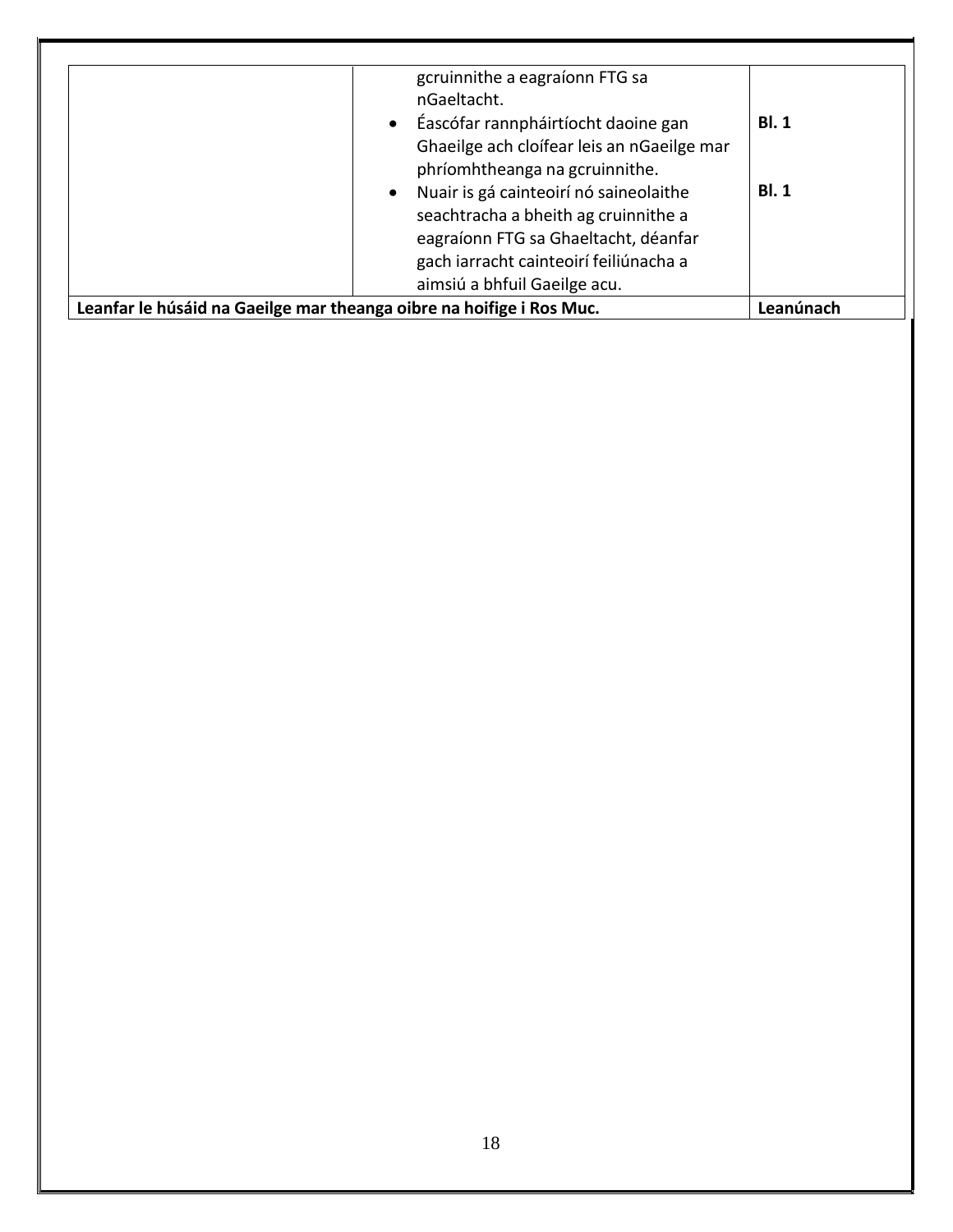| Leanfar le húsáid na Gaeilge mar theanga oibre na hoifige i Ros Muc.         | Leanúnach   |
|------------------------------------------------------------------------------|-------------|
| gach iarracht cainteoirí feiliúnacha a<br>aimsiú a bhfuil Gaeilge acu.       |             |
| seachtracha a bheith ag cruinnithe a<br>eagraíonn FTG sa Ghaeltacht, déanfar |             |
| phríomhtheanga na gcruinnithe.<br>· Nuair is gá cainteoirí nó saineolaithe   | <b>BI.1</b> |
| Ghaeilge ach cloífear leis an nGaeilge mar                                   |             |
| nGaeltacht.<br>• Éascófar rannpháirtíocht daoine gan                         | BI.1        |
| gcruinnithe a eagraíonn FTG sa                                               |             |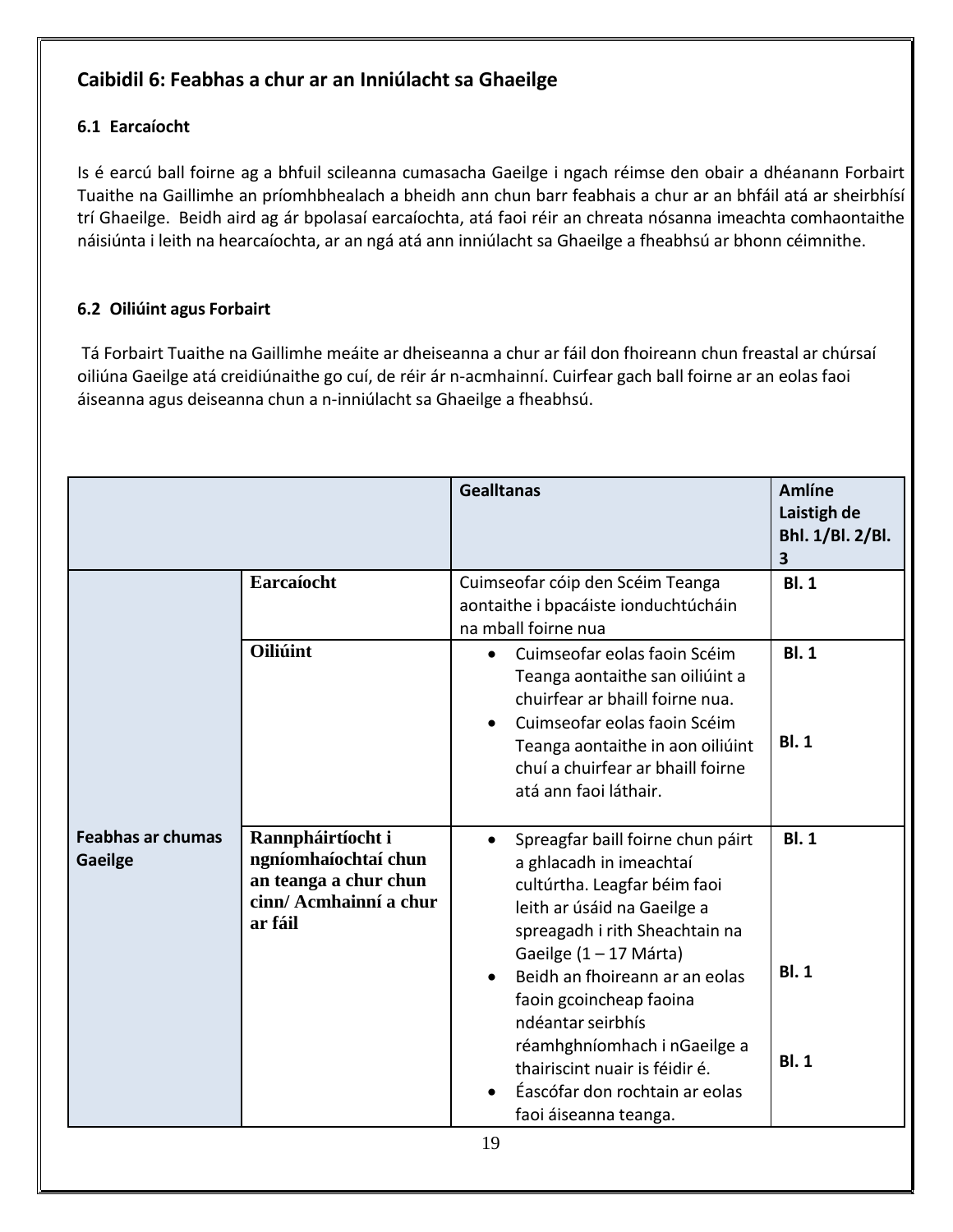## <span id="page-18-0"></span>**Caibidil 6: Feabhas a chur ar an Inniúlacht sa Ghaeilge**

#### <span id="page-18-1"></span>**6.1 Earcaíocht**

Is é earcú ball foirne ag a bhfuil scileanna cumasacha Gaeilge i ngach réimse den obair a dhéanann Forbairt Tuaithe na Gaillimhe an príomhbhealach a bheidh ann chun barr feabhais a chur ar an bhfáil atá ar sheirbhísí trí Ghaeilge. Beidh aird ag ár bpolasaí earcaíochta, atá faoi réir an chreata nósanna imeachta comhaontaithe náisiúnta i leith na hearcaíochta, ar an ngá atá ann inniúlacht sa Ghaeilge a fheabhsú ar bhonn céimnithe.

#### <span id="page-18-2"></span>**6.2 Oiliúint agus Forbairt**

Tá Forbairt Tuaithe na Gaillimhe meáite ar dheiseanna a chur ar fáil don fhoireann chun freastal ar chúrsaí oiliúna Gaeilge atá creidiúnaithe go cuí, de réir ár n-acmhainní. Cuirfear gach ball foirne ar an eolas faoi áiseanna agus deiseanna chun a n-inniúlacht sa Ghaeilge a fheabhsú.

|                                     |                                                                                                         | <b>Gealltanas</b>                                                                                                                                                                                                                                                                                                                                                                                                      | <b>Amlíne</b><br>Laistigh de<br>Bhl. 1/Bl. 2/Bl.<br>$\overline{\mathbf{3}}$ |
|-------------------------------------|---------------------------------------------------------------------------------------------------------|------------------------------------------------------------------------------------------------------------------------------------------------------------------------------------------------------------------------------------------------------------------------------------------------------------------------------------------------------------------------------------------------------------------------|-----------------------------------------------------------------------------|
|                                     | Earcaíocht                                                                                              | Cuimseofar cóip den Scéim Teanga<br>aontaithe i bpacáiste ionduchtúcháin<br>na mball foirne nua                                                                                                                                                                                                                                                                                                                        | <b>BI.1</b>                                                                 |
|                                     | Oiliúint                                                                                                | Cuimseofar eolas faoin Scéim<br>$\bullet$<br>Teanga aontaithe san oiliúint a<br>chuirfear ar bhaill foirne nua.<br>Cuimseofar eolas faoin Scéim<br>Teanga aontaithe in aon oiliúint<br>chuí a chuirfear ar bhaill foirne<br>atá ann faoi láthair.                                                                                                                                                                      | <b>BI.1</b><br>BI.1                                                         |
| <b>Feabhas ar chumas</b><br>Gaeilge | Rannpháirtíocht i<br>ngníomhaíochtaí chun<br>an teanga a chur chun<br>cinn/ Acmhainní a chur<br>ar fáil | Spreagfar baill foirne chun páirt<br>a ghlacadh in imeachtaí<br>cultúrtha. Leagfar béim faoi<br>leith ar úsáid na Gaeilge a<br>spreagadh i rith Sheachtain na<br>Gaeilge $(1 - 17 \text{ Márta})$<br>Beidh an fhoireann ar an eolas<br>faoin gcoincheap faoina<br>ndéantar seirbhís<br>réamhghníomhach i nGaeilge a<br>thairiscint nuair is féidir é.<br>Éascófar don rochtain ar eolas<br>faoi áiseanna teanga.<br>19 | BI.1<br><b>BI.1</b><br><b>BI.1</b>                                          |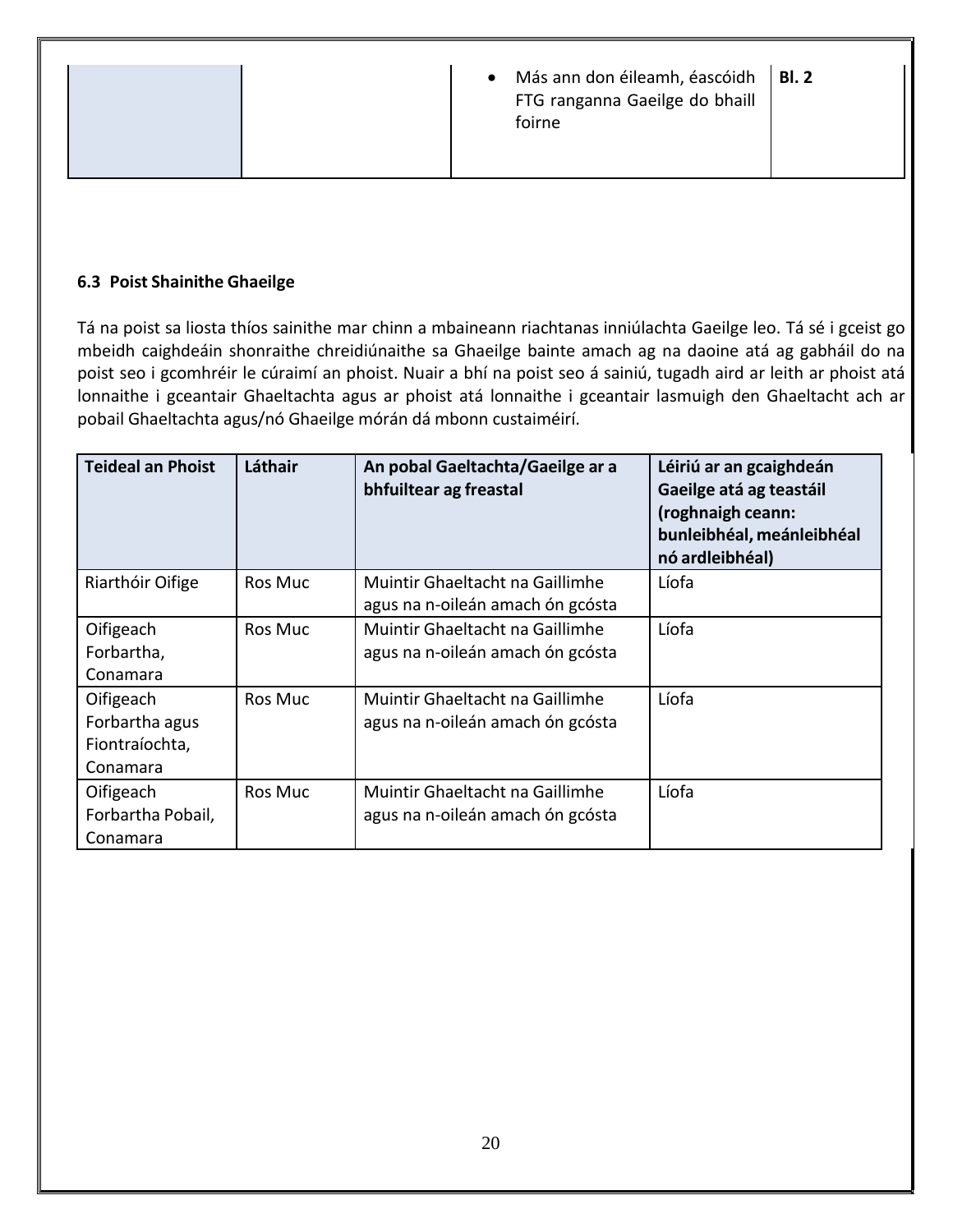|  | $\bullet$ | Más ann don éileamh, éascóidh   Bl. 2<br>FTG ranganna Gaeilge do bhaill<br>foirne |  |
|--|-----------|-----------------------------------------------------------------------------------|--|
|  |           |                                                                                   |  |

#### <span id="page-19-0"></span>**6.3 Poist Shainithe Ghaeilge**

Tá na poist sa liosta thíos sainithe mar chinn a mbaineann riachtanas inniúlachta Gaeilge leo. Tá sé i gceist go mbeidh caighdeáin shonraithe chreidiúnaithe sa Ghaeilge bainte amach ag na daoine atá ag gabháil do na poist seo i gcomhréir le cúraimí an phoist. Nuair a bhí na poist seo á sainiú, tugadh aird ar leith ar phoist atá lonnaithe i gceantair Ghaeltachta agus ar phoist atá lonnaithe i gceantair lasmuigh den Ghaeltacht ach ar pobail Ghaeltachta agus/nó Ghaeilge mórán dá mbonn custaiméirí.

| <b>Teideal an Phoist</b>                                  | Láthair        | An pobal Gaeltachta/Gaeilge ar a<br>bhfuiltear ag freastal          | Léiriú ar an gcaighdeán<br>Gaeilge atá ag teastáil<br>(roghnaigh ceann:<br>bunleibhéal, meánleibhéal<br>nó ardleibhéal) |
|-----------------------------------------------------------|----------------|---------------------------------------------------------------------|-------------------------------------------------------------------------------------------------------------------------|
| Riarthóir Oifige                                          | <b>Ros Muc</b> | Muintir Ghaeltacht na Gaillimhe<br>agus na n-oileán amach ón gcósta | Líofa                                                                                                                   |
| Oifigeach<br>Forbartha,<br>Conamara                       | Ros Muc        | Muintir Ghaeltacht na Gaillimhe<br>agus na n-oileán amach ón gcósta | Líofa                                                                                                                   |
| Oifigeach<br>Forbartha agus<br>Fiontraíochta,<br>Conamara | Ros Muc        | Muintir Ghaeltacht na Gaillimhe<br>agus na n-oileán amach ón gcósta | Líofa                                                                                                                   |
| Oifigeach<br>Forbartha Pobail,<br>Conamara                | <b>Ros Muc</b> | Muintir Ghaeltacht na Gaillimhe<br>agus na n-oileán amach ón gcósta | Líofa                                                                                                                   |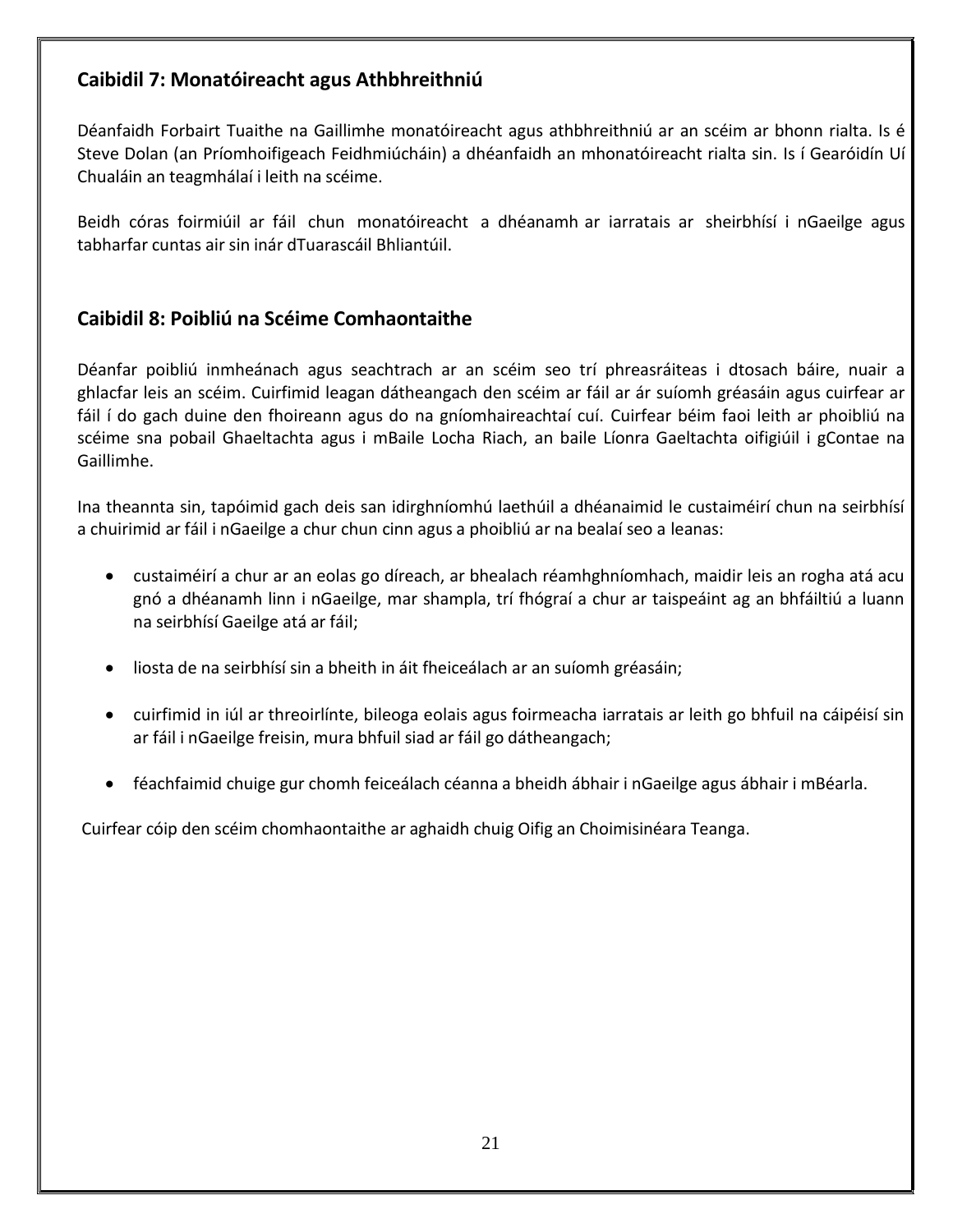#### <span id="page-20-0"></span>**Caibidil 7: Monatóireacht agus Athbhreithniú**

Déanfaidh Forbairt Tuaithe na Gaillimhe monatóireacht agus athbhreithniú ar an scéim ar bhonn rialta. Is é Steve Dolan (an Príomhoifigeach Feidhmiúcháin) a dhéanfaidh an mhonatóireacht rialta sin. Is í Gearóidín Uí Chualáin an teagmhálaí i leith na scéime.

Beidh córas foirmiúil ar fáil chun monatóireacht a dhéanamh ar iarratais ar sheirbhísí i nGaeilge agus tabharfar cuntas air sin inár dTuarascáil Bhliantúil.

#### <span id="page-20-1"></span>**Caibidil 8: Poibliú na Scéime Comhaontaithe**

Déanfar poibliú inmheánach agus seachtrach ar an scéim seo trí phreasráiteas i dtosach báire, nuair a ghlacfar leis an scéim. Cuirfimid leagan dátheangach den scéim ar fáil ar ár suíomh gréasáin agus cuirfear ar fáil í do gach duine den fhoireann agus do na gníomhaireachtaí cuí. Cuirfear béim faoi leith ar phoibliú na scéime sna pobail Ghaeltachta agus i mBaile Locha Riach, an baile Líonra Gaeltachta oifigiúil i gContae na Gaillimhe.

Ina theannta sin, tapóimid gach deis san idirghníomhú laethúil a dhéanaimid le custaiméirí chun na seirbhísí a chuirimid ar fáil i nGaeilge a chur chun cinn agus a phoibliú ar na bealaí seo a leanas:

- custaiméirí a chur ar an eolas go díreach, ar bhealach réamhghníomhach, maidir leis an rogha atá acu gnó a dhéanamh linn i nGaeilge, mar shampla, trí fhógraí a chur ar taispeáint ag an bhfáiltiú a luann na seirbhísí Gaeilge atá ar fáil;
- liosta de na seirbhísí sin a bheith in áit fheiceálach ar an suíomh gréasáin;
- cuirfimid in iúl ar threoirlínte, bileoga eolais agus foirmeacha iarratais ar leith go bhfuil na cáipéisí sin ar fáil i nGaeilge freisin, mura bhfuil siad ar fáil go dátheangach;
- féachfaimid chuige gur chomh feiceálach céanna a bheidh ábhair i nGaeilge agus ábhair i mBéarla.

Cuirfear cóip den scéim chomhaontaithe ar aghaidh chuig Oifig an Choimisinéara Teanga.